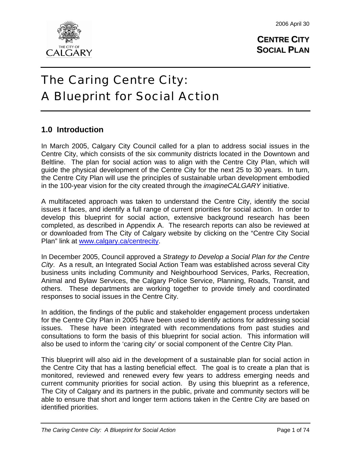

# CALGARY

# The Caring Centre City: A Blueprint for Social Action

# **1.0 Introduction**

In March 2005, Calgary City Council called for a plan to address social issues in the Centre City, which consists of the six community districts located in the Downtown and Beltline. The plan for social action was to align with the Centre City Plan, which will guide the physical development of the Centre City for the next 25 to 30 years. In turn, the Centre City Plan will use the principles of sustainable urban development embodied in the 100-year vision for the city created through the *imagineCALGARY* initiative.

A multifaceted approach was taken to understand the Centre City, identify the social issues it faces, and identify a full range of current priorities for social action. In order to develop this blueprint for social action, extensive background research has been completed, as described in Appendix A. The research reports can also be reviewed at or downloaded from The City of Calgary website by clicking on the "Centre City Social Plan" link at [www.calgary.ca/centrecity.](http://www.calgary.ca/centrecity)

In December 2005, Council approved a *Strategy to Develop a Social Plan for the Centre City*. As a result, an Integrated Social Action Team was established across several City business units including Community and Neighbourhood Services, Parks, Recreation, Animal and Bylaw Services, the Calgary Police Service, Planning, Roads, Transit, and others. These departments are working together to provide timely and coordinated responses to social issues in the Centre City.

In addition, the findings of the public and stakeholder engagement process undertaken for the Centre City Plan in 2005 have been used to identify actions for addressing social issues. These have been integrated with recommendations from past studies and consultations to form the basis of this blueprint for social action. This information will also be used to inform the 'caring city' or social component of the Centre City Plan.

This blueprint will also aid in the development of a sustainable plan for social action in the Centre City that has a lasting beneficial effect. The goal is to create a plan that is monitored, reviewed and renewed every few years to address emerging needs and current community priorities for social action. By using this blueprint as a reference, The City of Calgary and its partners in the public, private and community sectors will be able to ensure that short and longer term actions taken in the Centre City are based on identified priorities.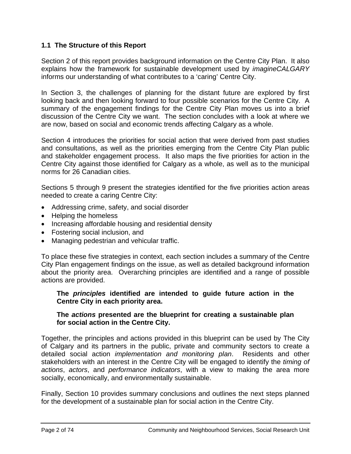# **1.1 The Structure of this Report**

Section 2 of this report provides background information on the Centre City Plan. It also explains how the framework for sustainable development used by *imagineCALGARY* informs our understanding of what contributes to a 'caring' Centre City.

In Section 3, the challenges of planning for the distant future are explored by first looking back and then looking forward to four possible scenarios for the Centre City. A summary of the engagement findings for the Centre City Plan moves us into a brief discussion of the Centre City we want. The section concludes with a look at where we are now, based on social and economic trends affecting Calgary as a whole.

Section 4 introduces the priorities for social action that were derived from past studies and consultations, as well as the priorities emerging from the Centre City Plan public and stakeholder engagement process. It also maps the five priorities for action in the Centre City against those identified for Calgary as a whole, as well as to the municipal norms for 26 Canadian cities.

Sections 5 through 9 present the strategies identified for the five priorities action areas needed to create a caring Centre City:

- Addressing crime, safety, and social disorder
- Helping the homeless
- Increasing affordable housing and residential density
- Fostering social inclusion, and
- Managing pedestrian and vehicular traffic.

To place these five strategies in context, each section includes a summary of the Centre City Plan engagement findings on the issue, as well as detailed background information about the priority area. Overarching principles are identified and a range of possible actions are provided.

#### **The** *principles* **identified are intended to guide future action in the Centre City in each priority area.**

# **The** *actions* **presented are the blueprint for creating a sustainable plan for social action in the Centre City.**

Together, the principles and actions provided in this blueprint can be used by The City of Calgary and its partners in the public, private and community sectors to create a detailed social action *implementation and monitoring plan*. Residents and other stakeholders with an interest in the Centre City will be engaged to identify the *timing of actions*, *actors*, and *performance indicators*, with a view to making the area more socially, economically, and environmentally sustainable.

Finally, Section 10 provides summary conclusions and outlines the next steps planned for the development of a sustainable plan for social action in the Centre City.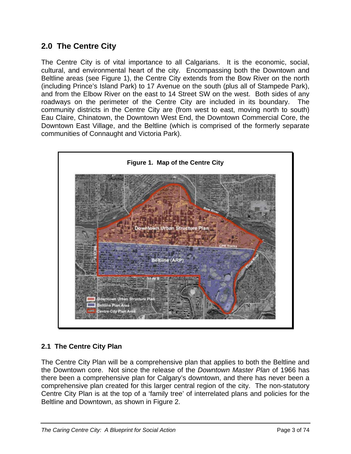# **2.0 The Centre City**

The Centre City is of vital importance to all Calgarians. It is the economic, social, cultural, and environmental heart of the city. Encompassing both the Downtown and Beltline areas (see Figure 1), the Centre City extends from the Bow River on the north (including Prince's Island Park) to 17 Avenue on the south (plus all of Stampede Park), and from the Elbow River on the east to 14 Street SW on the west. Both sides of any roadways on the perimeter of the Centre City are included in its boundary. The community districts in the Centre City are (from west to east, moving north to south) Eau Claire, Chinatown, the Downtown West End, the Downtown Commercial Core, the Downtown East Village, and the Beltline (which is comprised of the formerly separate communities of Connaught and Victoria Park).



# **2.1 The Centre City Plan**

The Centre City Plan will be a comprehensive plan that applies to both the Beltline and the Downtown core. Not since the release of the *Downtown Master Plan* of 1966 has there been a comprehensive plan for Calgary's downtown, and there has never been a comprehensive plan created for this larger central region of the city. The non-statutory Centre City Plan is at the top of a 'family tree' of interrelated plans and policies for the Beltline and Downtown, as shown in Figure 2.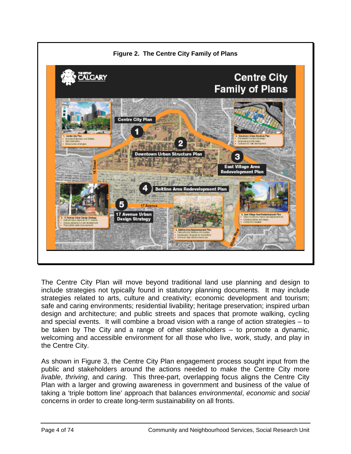

The Centre City Plan will move beyond traditional land use planning and design to include strategies not typically found in statutory planning documents. It may include strategies related to arts, culture and creativity; economic development and tourism; safe and caring environments; residential livability; heritage preservation; inspired urban design and architecture; and public streets and spaces that promote walking, cycling and special events. It will combine a broad vision with a range of action strategies – to be taken by The City and a range of other stakeholders – to promote a dynamic, welcoming and accessible environment for all those who live, work, study, and play in the Centre City.

As shown in Figure 3, the Centre City Plan engagement process sought input from the public and stakeholders around the actions needed to make the Centre City more *livable*, *thriving*, and *caring*. This three-part, overlapping focus aligns the Centre City Plan with a larger and growing awareness in government and business of the value of taking a 'triple bottom line' approach that balances *environmental*, *economic* and *social* concerns in order to create long-term sustainability on all fronts.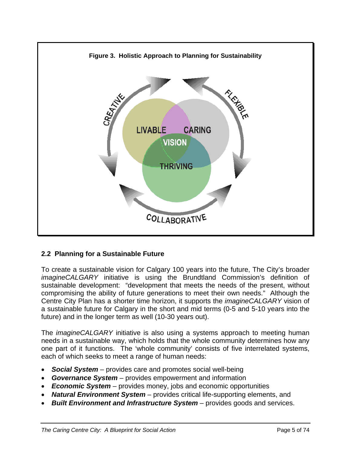

# **2.2 Planning for a Sustainable Future**

To create a sustainable vision for Calgary 100 years into the future, The City's broader *imagineCALGARY* initiative is using the Brundtland Commission's definition of sustainable development: "development that meets the needs of the present, without compromising the ability of future generations to meet their own needs." Although the Centre City Plan has a shorter time horizon, it supports the *imagineCALGARY* vision of a sustainable future for Calgary in the short and mid terms (0-5 and 5-10 years into the future) and in the longer term as well (10-30 years out).

The *imagineCALGARY* initiative is also using a systems approach to meeting human needs in a sustainable way, which holds that the whole community determines how any one part of it functions. The 'whole community' consists of five interrelated systems, each of which seeks to meet a range of human needs:

- *Social System* provides care and promotes social well-being
- *Governance System* provides empowerment and information
- *Economic System* provides money, jobs and economic opportunities
- *Natural Environment System* provides critical life-supporting elements, and
- *Built Environment and Infrastructure System* provides goods and services.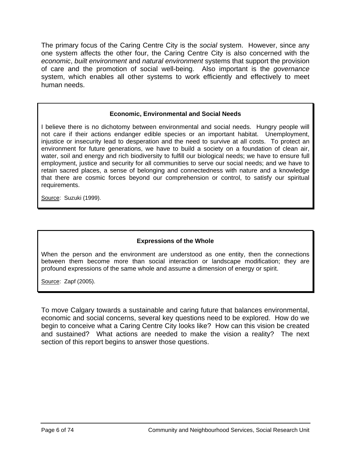The primary focus of the Caring Centre City is the *social* system. However, since any one system affects the other four, the Caring Centre City is also concerned with the *economic*, *built environment* and *natural environment* systems that support the provision of care and the promotion of social well-being. Also important is the *governance* system, which enables all other systems to work efficiently and effectively to meet human needs.

#### **Economic, Environmental and Social Needs**

I believe there is no dichotomy between environmental and social needs. Hungry people will not care if their actions endanger edible species or an important habitat. Unemployment, injustice or insecurity lead to desperation and the need to survive at all costs. To protect an environment for future generations, we have to build a society on a foundation of clean air, water, soil and energy and rich biodiversity to fulfill our biological needs; we have to ensure full employment, justice and security for all communities to serve our social needs; and we have to retain sacred places, a sense of belonging and connectedness with nature and a knowledge that there are cosmic forces beyond our comprehension or control, to satisfy our spiritual requirements.

Source: Suzuki (1999).

# **Expressions of the Whole**

When the person and the environment are understood as one entity, then the connections between them become more than social interaction or landscape modification; they are profound expressions of the same whole and assume a dimension of energy or spirit.

Source: Zapf (2005).

To move Calgary towards a sustainable and caring future that balances environmental, economic and social concerns, several key questions need to be explored. How do we begin to conceive what a Caring Centre City looks like? How can this vision be created and sustained? What actions are needed to make the vision a reality? The next section of this report begins to answer those questions.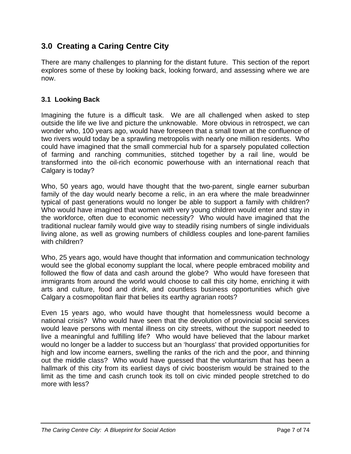# **3.0 Creating a Caring Centre City**

There are many challenges to planning for the distant future. This section of the report explores some of these by looking back, looking forward, and assessing where we are now.

# **3.1 Looking Back**

Imagining the future is a difficult task. We are all challenged when asked to step outside the life we live and picture the unknowable. More obvious in retrospect, we can wonder who, 100 years ago, would have foreseen that a small town at the confluence of two rivers would today be a sprawling metropolis with nearly one million residents. Who could have imagined that the small commercial hub for a sparsely populated collection of farming and ranching communities, stitched together by a rail line, would be transformed into the oil-rich economic powerhouse with an international reach that Calgary is today?

Who, 50 years ago, would have thought that the two-parent, single earner suburban family of the day would nearly become a relic, in an era where the male breadwinner typical of past generations would no longer be able to support a family with children? Who would have imagined that women with very young children would enter and stay in the workforce, often due to economic necessity? Who would have imagined that the traditional nuclear family would give way to steadily rising numbers of single individuals living alone, as well as growing numbers of childless couples and lone-parent families with children?

Who, 25 years ago, would have thought that information and communication technology would see the global economy supplant the local, where people embraced mobility and followed the flow of data and cash around the globe? Who would have foreseen that immigrants from around the world would choose to call this city home, enriching it with arts and culture, food and drink, and countless business opportunities which give Calgary a cosmopolitan flair that belies its earthy agrarian roots?

Even 15 years ago, who would have thought that homelessness would become a national crisis? Who would have seen that the devolution of provincial social services would leave persons with mental illness on city streets, without the support needed to live a meaningful and fulfilling life? Who would have believed that the labour market would no longer be a ladder to success but an 'hourglass' that provided opportunities for high and low income earners, swelling the ranks of the rich and the poor, and thinning out the middle class? Who would have guessed that the voluntarism that has been a hallmark of this city from its earliest days of civic boosterism would be strained to the limit as the time and cash crunch took its toll on civic minded people stretched to do more with less?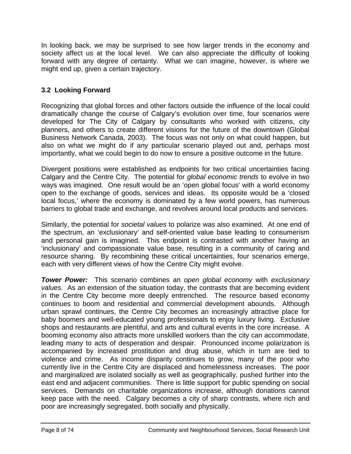In looking back, we may be surprised to see how larger trends in the economy and society affect us at the local level. We can also appreciate the difficulty of looking forward with any degree of certainty. What we can imagine, however, is where we might end up, given a certain trajectory.

# **3.2 Looking Forward**

Recognizing that global forces and other factors outside the influence of the local could dramatically change the course of Calgary's evolution over time, four scenarios were developed for The City of Calgary by consultants who worked with citizens, city planners, and others to create different visions for the future of the downtown (Global Business Network Canada, 2003). The focus was not only on what could happen, but also on what we might do if any particular scenario played out and, perhaps most importantly, what we could begin to do now to ensure a positive outcome in the future.

Divergent positions were established as endpoints for two critical uncertainties facing Calgary and the Centre City. The potential for *global economic trends* to evolve in two ways was imagined. One result would be an 'open global focus' with a world economy open to the exchange of goods, services and ideas. Its opposite would be a 'closed local focus,' where the economy is dominated by a few world powers, has numerous barriers to global trade and exchange, and revolves around local products and services.

Similarly, the potential for *societal values* to polarize was also examined. At one end of the spectrum, an 'exclusionary' and self-oriented value base leading to consumerism and personal gain is imagined. This endpoint is contrasted with another having an 'inclusionary' and compassionate value base, resulting in a community of caring and resource sharing. By recombining these critical uncertainties, four scenarios emerge, each with very different views of how the Centre City might evolve.

*Tower Power:* This scenario combines an *open global economy* with *exclusionary values*. As an extension of the situation today, the contrasts that are becoming evident in the Centre City become more deeply entrenched. The resource based economy continues to boom and residential and commercial development abounds. Although urban sprawl continues, the Centre City becomes an increasingly attractive place for baby boomers and well-educated young professionals to enjoy luxury living. Exclusive shops and restaurants are plentiful, and arts and cultural events in the core increase. A booming economy also attracts more unskilled workers than the city can accommodate, leading many to acts of desperation and despair. Pronounced income polarization is accompanied by increased prostitution and drug abuse, which in turn are tied to violence and crime. As income disparity continues to grow, many of the poor who currently live in the Centre City are displaced and homelessness increases. The poor and marginalized are isolated socially as well as geographically, pushed further into the east end and adjacent communities. There is little support for public spending on social services. Demands on charitable organizations increase, although donations cannot keep pace with the need. Calgary becomes a city of sharp contrasts, where rich and poor are increasingly segregated, both socially and physically.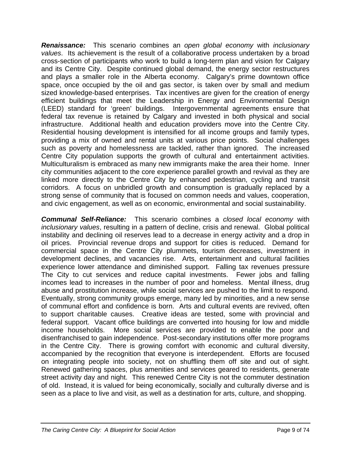*Renaissance:* This scenario combines an *open global economy* with *inclusionary values*. Its achievement is the result of a collaborative process undertaken by a broad cross-section of participants who work to build a long-term plan and vision for Calgary and its Centre City. Despite continued global demand, the energy sector restructures and plays a smaller role in the Alberta economy. Calgary's prime downtown office space, once occupied by the oil and gas sector, is taken over by small and medium sized knowledge-based enterprises. Tax incentives are given for the creation of energy efficient buildings that meet the Leadership in Energy and Environmental Design (LEED) standard for 'green' buildings. Intergovernmental agreements ensure that federal tax revenue is retained by Calgary and invested in both physical and social infrastructure. Additional health and education providers move into the Centre City. Residential housing development is intensified for all income groups and family types, providing a mix of owned and rental units at various price points. Social challenges such as poverty and homelessness are tackled, rather than ignored. The increased Centre City population supports the growth of cultural and entertainment activities. Multiculturalism is embraced as many new immigrants make the area their home. Inner city communities adjacent to the core experience parallel growth and revival as they are linked more directly to the Centre City by enhanced pedestrian, cycling and transit corridors. A focus on unbridled growth and consumption is gradually replaced by a strong sense of community that is focused on common needs and values, cooperation, and civic engagement, as well as on economic, environmental and social sustainability.

*Communal Self-Reliance:* This scenario combines a *closed local economy* with *inclusionary values*, resulting in a pattern of decline, crisis and renewal. Global political instability and declining oil reserves lead to a decrease in energy activity and a drop in oil prices. Provincial revenue drops and support for cities is reduced. Demand for commercial space in the Centre City plummets, tourism decreases, investment in development declines, and vacancies rise. Arts, entertainment and cultural facilities experience lower attendance and diminished support. Falling tax revenues pressure The City to cut services and reduce capital investments. Fewer jobs and falling incomes lead to increases in the number of poor and homeless. Mental illness, drug abuse and prostitution increase, while social services are pushed to the limit to respond. Eventually, strong community groups emerge, many led by minorities, and a new sense of communal effort and confidence is born. Arts and cultural events are revived, often to support charitable causes. Creative ideas are tested, some with provincial and federal support. Vacant office buildings are converted into housing for low and middle income households. More social services are provided to enable the poor and disenfranchised to gain independence. Post-secondary institutions offer more programs in the Centre City. There is growing comfort with economic and cultural diversity, accompanied by the recognition that everyone is interdependent. Efforts are focused on integrating people into society, not on shuffling them off site and out of sight. Renewed gathering spaces, plus amenities and services geared to residents, generate street activity day and night. This renewed Centre City is not the commuter destination of old. Instead, it is valued for being economically, socially and culturally diverse and is seen as a place to live and visit, as well as a destination for arts, culture, and shopping.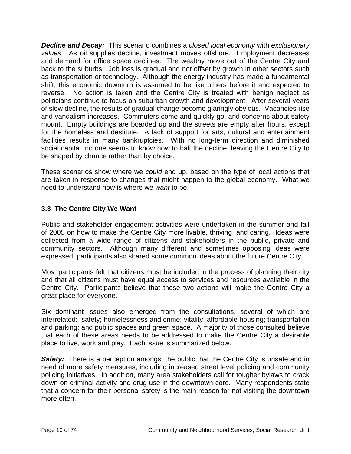*Decline and Decay:* This scenario combines a *closed local economy* with *exclusionary values*. As oil supplies decline, investment moves offshore. Employment decreases and demand for office space declines. The wealthy move out of the Centre City and back to the suburbs. Job loss is gradual and not offset by growth in other sectors such as transportation or technology. Although the energy industry has made a fundamental shift, this economic downturn is assumed to be like others before it and expected to reverse. No action is taken and the Centre City is treated with benign neglect as politicians continue to focus on suburban growth and development. After several years of slow decline, the results of gradual change become glaringly obvious. Vacancies rise and vandalism increases. Commuters come and quickly go, and concerns about safety mount. Empty buildings are boarded up and the streets are empty after hours, except for the homeless and destitute. A lack of support for arts, cultural and entertainment facilities results in many bankruptcies. With no long-term direction and diminished social capital, no one seems to know how to halt the decline, leaving the Centre City to be shaped by chance rather than by choice.

These scenarios show where we *could* end up, based on the type of local actions that are taken in response to changes that might happen to the global economy. What we need to understand now is where we *want* to be.

# **3.3 The Centre City We Want**

Public and stakeholder engagement activities were undertaken in the summer and fall of 2005 on how to make the Centre City more livable, thriving, and caring. Ideas were collected from a wide range of citizens and stakeholders in the public, private and community sectors. Although many different and sometimes opposing ideas were expressed, participants also shared some common ideas about the future Centre City.

Most participants felt that citizens must be included in the process of planning their city and that all citizens must have equal access to services and resources available in the Centre City. Participants believe that these two actions will make the Centre City a great place for everyone.

Six dominant issues also emerged from the consultations, several of which are interrelated: safety; homelessness and crime; vitality; affordable housing; transportation and parking; and public spaces and green space. A majority of those consulted believe that each of these areas needs to be addressed to make the Centre City a desirable place to live, work and play. Each issue is summarized below.

**Safety:** There is a perception amongst the public that the Centre City is unsafe and in need of more safety measures, including increased street level policing and community policing initiatives. In addition, many area stakeholders call for tougher bylaws to crack down on criminal activity and drug use in the downtown core. Many respondents state that a concern for their personal safety is the main reason for not visiting the downtown more often.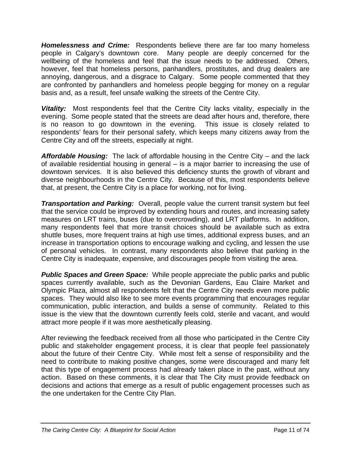*Homelessness and Crime:* Respondents believe there are far too many homeless people in Calgary's downtown core. Many people are deeply concerned for the wellbeing of the homeless and feel that the issue needs to be addressed. Others, however, feel that homeless persons, panhandlers, prostitutes, and drug dealers are annoying, dangerous, and a disgrace to Calgary. Some people commented that they are confronted by panhandlers and homeless people begging for money on a regular basis and, as a result, feel unsafe walking the streets of the Centre City.

*Vitality:* Most respondents feel that the Centre City lacks vitality, especially in the evening. Some people stated that the streets are dead after hours and, therefore, there is no reason to go downtown in the evening. This issue is closely related to respondents' fears for their personal safety, which keeps many citizens away from the Centre City and off the streets, especially at night.

*Affordable Housing:* The lack of affordable housing in the Centre City – and the lack of available residential housing in general – is a major barrier to increasing the use of downtown services. It is also believed this deficiency stunts the growth of vibrant and diverse neighbourhoods in the Centre City. Because of this, most respondents believe that, at present, the Centre City is a place for working, not for living.

*Transportation and Parking:* Overall, people value the current transit system but feel that the service could be improved by extending hours and routes, and increasing safety measures on LRT trains, buses (due to overcrowding), and LRT platforms. In addition, many respondents feel that more transit choices should be available such as extra shuttle buses, more frequent trains at high use times, additional express buses, and an increase in transportation options to encourage walking and cycling, and lessen the use of personal vehicles. In contrast, many respondents also believe that parking in the Centre City is inadequate, expensive, and discourages people from visiting the area.

**Public Spaces and Green Space:** While people appreciate the public parks and public spaces currently available, such as the Devonian Gardens, Eau Claire Market and Olympic Plaza, almost all respondents felt that the Centre City needs even more public spaces. They would also like to see more events programming that encourages regular communication, public interaction, and builds a sense of community. Related to this issue is the view that the downtown currently feels cold, sterile and vacant, and would attract more people if it was more aesthetically pleasing.

After reviewing the feedback received from all those who participated in the Centre City public and stakeholder engagement process, it is clear that people feel passionately about the future of their Centre City. While most felt a sense of responsibility and the need to contribute to making positive changes, some were discouraged and many felt that this type of engagement process had already taken place in the past, without any action. Based on these comments, it is clear that The City must provide feedback on decisions and actions that emerge as a result of public engagement processes such as the one undertaken for the Centre City Plan.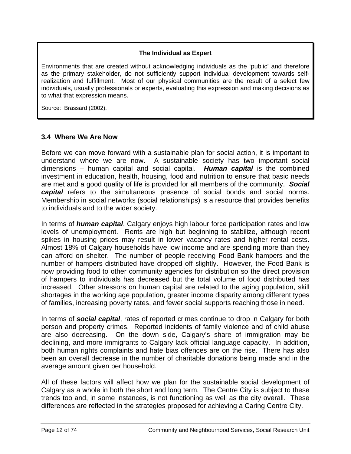## **The Individual as Expert**

Environments that are created without acknowledging individuals as the 'public' and therefore as the primary stakeholder, do not sufficiently support individual development towards selfrealization and fulfillment. Most of our physical communities are the result of a select few individuals, usually professionals or experts, evaluating this expression and making decisions as to what that expression means.

Source: Brassard (2002).

# **3.4 Where We Are Now**

Before we can move forward with a sustainable plan for social action, it is important to understand where we are now. A sustainable society has two important social dimensions – human capital and social capital. *Human capital* is the combined investment in education, health, housing, food and nutrition to ensure that basic needs are met and a good quality of life is provided for all members of the community. *Social capital* refers to the simultaneous presence of social bonds and social norms. Membership in social networks (social relationships) is a resource that provides benefits to individuals and to the wider society.

In terms of *human capital*, Calgary enjoys high labour force participation rates and low levels of unemployment. Rents are high but beginning to stabilize, although recent spikes in housing prices may result in lower vacancy rates and higher rental costs. Almost 18% of Calgary households have low income and are spending more than they can afford on shelter. The number of people receiving Food Bank hampers and the number of hampers distributed have dropped off slightly. However, the Food Bank is now providing food to other community agencies for distribution so the direct provision of hampers to individuals has decreased but the total volume of food distributed has increased. Other stressors on human capital are related to the aging population, skill shortages in the working age population, greater income disparity among different types of families, increasing poverty rates, and fewer social supports reaching those in need.

In terms of *social capital*, rates of reported crimes continue to drop in Calgary for both person and property crimes. Reported incidents of family violence and of child abuse are also decreasing. On the down side, Calgary's share of immigration may be declining, and more immigrants to Calgary lack official language capacity. In addition, both human rights complaints and hate bias offences are on the rise. There has also been an overall decrease in the number of charitable donations being made and in the average amount given per household.

All of these factors will affect how we plan for the sustainable social development of Calgary as a whole in both the short and long term. The Centre City is subject to these trends too and, in some instances, is not functioning as well as the city overall. These differences are reflected in the strategies proposed for achieving a Caring Centre City.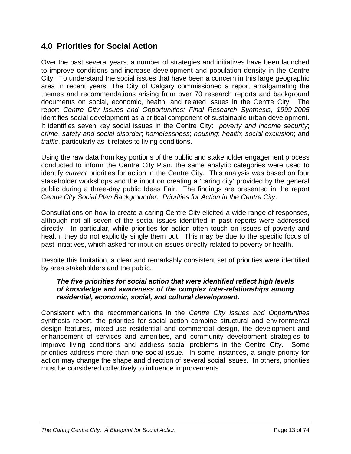# **4.0 Priorities for Social Action**

Over the past several years, a number of strategies and initiatives have been launched to improve conditions and increase development and population density in the Centre City. To understand the social issues that have been a concern in this large geographic area in recent years, The City of Calgary commissioned a report amalgamating the themes and recommendations arising from over 70 research reports and background documents on social, economic, health, and related issues in the Centre City. The report *Centre City Issues and Opportunities: Final Research Synthesis, 1999-2005* identifies social development as a critical component of sustainable urban development. It identifies seven key social issues in the Centre City: *poverty and income security*; *crime*, *safety and social disorder*; *homelessness*; *housing*; *health*; *social exclusion*; and *traffic*, particularly as it relates to living conditions.

Using the raw data from key portions of the public and stakeholder engagement process conducted to inform the Centre City Plan, the same analytic categories were used to identify *current* priorities for action in the Centre City. This analysis was based on four stakeholder workshops and the input on creating a 'caring city' provided by the general public during a three-day public Ideas Fair. The findings are presented in the report *Centre City Social Plan Backgrounder: Priorities for Action in the Centre City*.

Consultations on how to create a caring Centre City elicited a wide range of responses, although not all seven of the social issues identified in past reports were addressed directly. In particular, while priorities for action often touch on issues of poverty and health, they do not explicitly single them out. This may be due to the specific focus of past initiatives, which asked for input on issues directly related to poverty or health.

Despite this limitation, a clear and remarkably consistent set of priorities were identified by area stakeholders and the public.

#### *The five priorities for social action that were identified reflect high levels of knowledge and awareness of the complex inter-relationships among residential, economic, social, and cultural development.*

Consistent with the recommendations in the *Centre City Issues and Opportunities* synthesis report, the priorities for social action combine structural and environmental design features, mixed-use residential and commercial design, the development and enhancement of services and amenities, and community development strategies to improve living conditions and address social problems in the Centre City. Some priorities address more than one social issue. In some instances, a single priority for action may change the shape and direction of several social issues. In others, priorities must be considered collectively to influence improvements.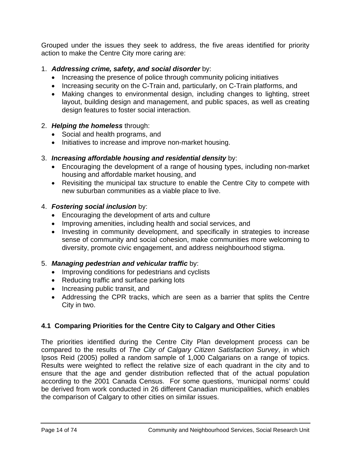Grouped under the issues they seek to address, the five areas identified for priority action to make the Centre City more caring are:

# 1. *Addressing crime, safety, and social disorder* by:

- Increasing the presence of police through community policing initiatives
- Increasing security on the C-Train and, particularly, on C-Train platforms, and
- Making changes to environmental design, including changes to lighting, street layout, building design and management, and public spaces, as well as creating design features to foster social interaction.

# 2. *Helping the homeless* through:

- Social and health programs, and
- Initiatives to increase and improve non-market housing.

# 3. *Increasing affordable housing and residential density* by:

- Encouraging the development of a range of housing types, including non-market housing and affordable market housing, and
- Revisiting the municipal tax structure to enable the Centre City to compete with new suburban communities as a viable place to live.

# 4. *Fostering social inclusion* by:

- Encouraging the development of arts and culture
- Improving amenities, including health and social services, and
- Investing in community development, and specifically in strategies to increase sense of community and social cohesion, make communities more welcoming to diversity, promote civic engagement, and address neighbourhood stigma.

# 5. *Managing pedestrian and vehicular traffic* by:

- Improving conditions for pedestrians and cyclists
- Reducing traffic and surface parking lots
- Increasing public transit, and
- Addressing the CPR tracks, which are seen as a barrier that splits the Centre City in two.

# **4.1 Comparing Priorities for the Centre City to Calgary and Other Cities**

The priorities identified during the Centre City Plan development process can be compared to the results of *The City of Calgary Citizen Satisfaction Survey*, in which Ipsos Reid (2005) polled a random sample of 1,000 Calgarians on a range of topics. Results were weighted to reflect the relative size of each quadrant in the city and to ensure that the age and gender distribution reflected that of the actual population according to the 2001 Canada Census. For some questions, 'municipal norms' could be derived from work conducted in 26 different Canadian municipalities, which enables the comparison of Calgary to other cities on similar issues.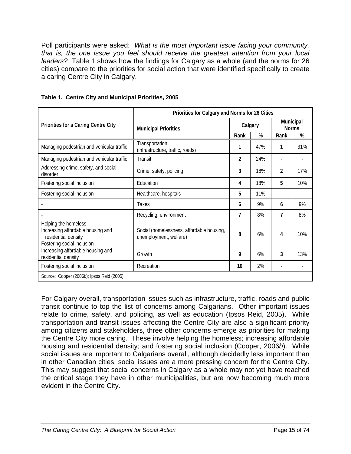Poll participants were asked: *What is the most important issue facing your community, that is, the one issue you feel should receive the greatest attention from your local leaders?* Table 1 shows how the findings for Calgary as a whole (and the norms for 26 cities) compare to the priorities for social action that were identified specifically to create a caring Centre City in Calgary.

|                                                                                                                | Priorities for Calgary and Norms for 26 Cities                      |         |     |                           |     |  |
|----------------------------------------------------------------------------------------------------------------|---------------------------------------------------------------------|---------|-----|---------------------------|-----|--|
| Priorities for a Caring Centre City                                                                            | <b>Municipal Priorities</b>                                         | Calgary |     | Municipal<br><b>Norms</b> |     |  |
|                                                                                                                |                                                                     | Rank    | %   | Rank                      | %   |  |
| Managing pedestrian and vehicular traffic                                                                      | Transportation<br>(infrastructure, traffic, roads)                  | 1       | 47% | 1                         | 31% |  |
| Managing pedestrian and vehicular traffic                                                                      | Transit                                                             | 2       | 24% | $\overline{\phantom{a}}$  |     |  |
| Addressing crime, safety, and social<br>disorder                                                               | Crime, safety, policing                                             | 3       | 18% | 2                         | 17% |  |
| Fostering social inclusion                                                                                     | Education                                                           | 4       | 18% | 5                         | 10% |  |
| Fostering social inclusion                                                                                     | Healthcare, hospitals                                               | 5       | 11% |                           |     |  |
|                                                                                                                | Taxes                                                               | 6       | 9%  | 6                         | 9%  |  |
|                                                                                                                | Recycling, environment                                              | 7       | 8%  | 7                         | 8%  |  |
| Helping the homeless<br>Increasing affordable housing and<br>residential density<br>Fostering social inclusion | Social (homelessness, affordable housing,<br>unemployment, welfare) | 8       | 6%  | 4                         | 10% |  |
| Increasing affordable housing and<br>residential density                                                       | Growth                                                              | 9       | 6%  | 3                         | 13% |  |
| Fostering social inclusion                                                                                     | Recreation                                                          | 10      | 2%  |                           |     |  |
| Source: Cooper (2006b); Ipsos Reid (2005).                                                                     |                                                                     |         |     |                           |     |  |

|  | Table 1. Centre City and Municipal Priorities, 2005 |  |
|--|-----------------------------------------------------|--|
|  |                                                     |  |

For Calgary overall, transportation issues such as infrastructure, traffic, roads and public transit continue to top the list of concerns among Calgarians. Other important issues relate to crime, safety, and policing, as well as education (Ipsos Reid, 2005). While transportation and transit issues affecting the Centre City are also a significant priority among citizens and stakeholders, three other concerns emerge as priorities for making the Centre City more caring. These involve helping the homeless; increasing affordable housing and residential density; and fostering social inclusion (Cooper, 2006*b*). While social issues are important to Calgarians overall, although decidedly less important than in other Canadian cities, social issues are a more pressing concern for the Centre City. This may suggest that social concerns in Calgary as a whole may not yet have reached the critical stage they have in other municipalities, but are now becoming much more evident in the Centre City.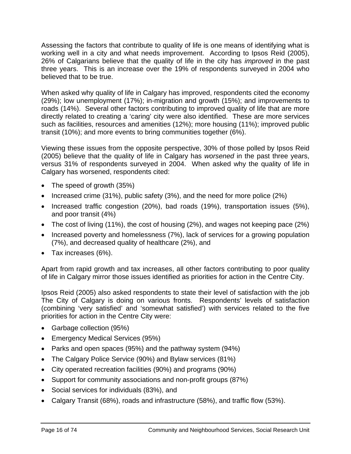Assessing the factors that contribute to quality of life is one means of identifying what is working well in a city and what needs improvement. According to Ipsos Reid (2005), 26% of Calgarians believe that the quality of life in the city has *improved* in the past three years. This is an increase over the 19% of respondents surveyed in 2004 who believed that to be true.

When asked why quality of life in Calgary has improved, respondents cited the economy (29%); low unemployment (17%); in-migration and growth (15%); and improvements to roads (14%). Several other factors contributing to improved quality of life that are more directly related to creating a 'caring' city were also identified. These are more services such as facilities, resources and amenities (12%); more housing (11%); improved public transit (10%); and more events to bring communities together (6%).

Viewing these issues from the opposite perspective, 30% of those polled by Ipsos Reid (2005) believe that the quality of life in Calgary has *worsened* in the past three years, versus 31% of respondents surveyed in 2004. When asked why the quality of life in Calgary has worsened, respondents cited:

- The speed of growth (35%)
- Increased crime (31%), public safety (3%), and the need for more police (2%)
- Increased traffic congestion (20%), bad roads (19%), transportation issues (5%), and poor transit (4%)
- The cost of living (11%), the cost of housing (2%), and wages not keeping pace (2%)
- Increased poverty and homelessness (7%), lack of services for a growing population (7%), and decreased quality of healthcare (2%), and
- Tax increases (6%).

Apart from rapid growth and tax increases, all other factors contributing to poor quality of life in Calgary mirror those issues identified as priorities for action in the Centre City.

Ipsos Reid (2005) also asked respondents to state their level of satisfaction with the job The City of Calgary is doing on various fronts. Respondents' levels of satisfaction (combining 'very satisfied' and 'somewhat satisfied') with services related to the five priorities for action in the Centre City were:

- Garbage collection (95%)
- Emergency Medical Services (95%)
- Parks and open spaces (95%) and the pathway system (94%)
- The Calgary Police Service (90%) and Bylaw services (81%)
- City operated recreation facilities (90%) and programs (90%)
- Support for community associations and non-profit groups (87%)
- Social services for individuals (83%), and
- Calgary Transit (68%), roads and infrastructure (58%), and traffic flow (53%).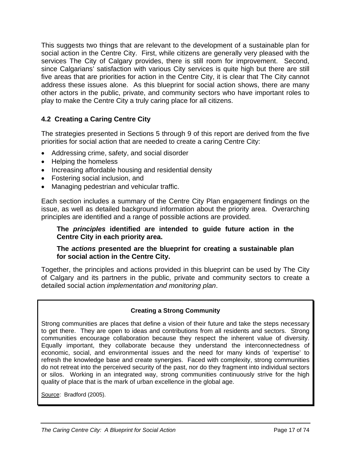This suggests two things that are relevant to the development of a sustainable plan for social action in the Centre City. First, while citizens are generally very pleased with the services The City of Calgary provides, there is still room for improvement. Second, since Calgarians' satisfaction with various City services is quite high but there are still five areas that are priorities for action in the Centre City, it is clear that The City cannot address these issues alone. As this blueprint for social action shows, there are many other actors in the public, private, and community sectors who have important roles to play to make the Centre City a truly caring place for all citizens.

# **4.2 Creating a Caring Centre City**

The strategies presented in Sections 5 through 9 of this report are derived from the five priorities for social action that are needed to create a caring Centre City:

- Addressing crime, safety, and social disorder
- Helping the homeless
- Increasing affordable housing and residential density
- Fostering social inclusion, and
- Managing pedestrian and vehicular traffic.

Each section includes a summary of the Centre City Plan engagement findings on the issue, as well as detailed background information about the priority area. Overarching principles are identified and a range of possible actions are provided.

#### **The** *principles* **identified are intended to guide future action in the Centre City in each priority area.**

#### **The** *actions* **presented are the blueprint for creating a sustainable plan for social action in the Centre City.**

Together, the principles and actions provided in this blueprint can be used by The City of Calgary and its partners in the public, private and community sectors to create a detailed social action *implementation and monitoring plan*.

#### **Creating a Strong Community**

Strong communities are places that define a vision of their future and take the steps necessary to get there. They are open to ideas and contributions from all residents and sectors. Strong communities encourage collaboration because they respect the inherent value of diversity. Equally important, they collaborate because they understand the interconnectedness of economic, social, and environmental issues and the need for many kinds of 'expertise' to refresh the knowledge base and create synergies. Faced with complexity, strong communities do not retreat into the perceived security of the past, nor do they fragment into individual sectors or silos. Working in an integrated way, strong communities continuously strive for the high quality of place that is the mark of urban excellence in the global age.

Source: Bradford (2005).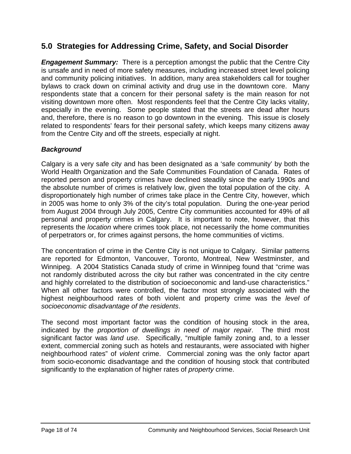# **5.0 Strategies for Addressing Crime, Safety, and Social Disorder**

*Engagement Summary:* There is a perception amongst the public that the Centre City is unsafe and in need of more safety measures, including increased street level policing and community policing initiatives. In addition, many area stakeholders call for tougher bylaws to crack down on criminal activity and drug use in the downtown core. Many respondents state that a concern for their personal safety is the main reason for not visiting downtown more often. Most respondents feel that the Centre City lacks vitality, especially in the evening. Some people stated that the streets are dead after hours and, therefore, there is no reason to go downtown in the evening. This issue is closely related to respondents' fears for their personal safety, which keeps many citizens away from the Centre City and off the streets, especially at night.

# *Background*

Calgary is a very safe city and has been designated as a 'safe community' by both the World Health Organization and the Safe Communities Foundation of Canada. Rates of reported person and property crimes have declined steadily since the early 1990s and the absolute number of crimes is relatively low, given the total population of the city. A disproportionately high number of crimes take place in the Centre City, however, which in 2005 was home to only 3% of the city's total population. During the one-year period from August 2004 through July 2005, Centre City communities accounted for 49% of all personal and property crimes in Calgary. It is important to note, however, that this represents the *location* where crimes took place, not necessarily the home communities of perpetrators or, for crimes against persons, the home communities of victims.

The concentration of crime in the Centre City is not unique to Calgary. Similar patterns are reported for Edmonton, Vancouver, Toronto, Montreal, New Westminster, and Winnipeg. A 2004 Statistics Canada study of crime in Winnipeg found that "crime was not randomly distributed across the city but rather was concentrated in the city centre and highly correlated to the distribution of socioeconomic and land-use characteristics." When all other factors were controlled, the factor most strongly associated with the highest neighbourhood rates of both violent and property crime was the *level of socioeconomic disadvantage of the residents*.

The second most important factor was the condition of housing stock in the area, indicated by the *proportion of dwellings in need of major repair*. The third most significant factor was *land use*. Specifically, "multiple family zoning and, to a lesser extent, commercial zoning such as hotels and restaurants, were associated with higher neighbourhood rates" of *violent* crime. Commercial zoning was the only factor apart from socio-economic disadvantage and the condition of housing stock that contributed significantly to the explanation of higher rates of *property* crime.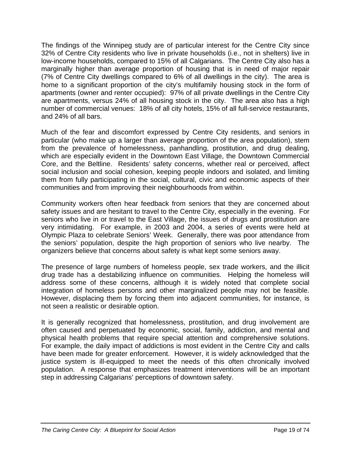The findings of the Winnipeg study are of particular interest for the Centre City since 32% of Centre City residents who live in private households (i.e., not in shelters) live in low-income households, compared to 15% of all Calgarians. The Centre City also has a marginally higher than average proportion of housing that is in need of major repair (7% of Centre City dwellings compared to 6% of all dwellings in the city). The area is home to a significant proportion of the city's multifamily housing stock in the form of apartments (owner and renter occupied): 97% of all private dwellings in the Centre City are apartments, versus 24% of all housing stock in the city. The area also has a high number of commercial venues: 18% of all city hotels, 15% of all full-service restaurants, and 24% of all bars.

Much of the fear and discomfort expressed by Centre City residents, and seniors in particular (who make up a larger than average proportion of the area population), stem from the prevalence of homelessness, panhandling, prostitution, and drug dealing, which are especially evident in the Downtown East Village, the Downtown Commercial Core, and the Beltline. Residents' safety concerns, whether real or perceived, affect social inclusion and social cohesion, keeping people indoors and isolated, and limiting them from fully participating in the social, cultural, civic and economic aspects of their communities and from improving their neighbourhoods from within.

Community workers often hear feedback from seniors that they are concerned about safety issues and are hesitant to travel to the Centre City, especially in the evening. For seniors who live in or travel to the East Village, the issues of drugs and prostitution are very intimidating. For example, in 2003 and 2004, a series of events were held at Olympic Plaza to celebrate Seniors' Week. Generally, there was poor attendance from the seniors' population, despite the high proportion of seniors who live nearby. The organizers believe that concerns about safety is what kept some seniors away.

The presence of large numbers of homeless people, sex trade workers, and the illicit drug trade has a destabilizing influence on communities. Helping the homeless will address some of these concerns, although it is widely noted that complete social integration of homeless persons and other marginalized people may not be feasible. However, displacing them by forcing them into adjacent communities, for instance, is not seen a realistic or desirable option.

It is generally recognized that homelessness, prostitution, and drug involvement are often caused and perpetuated by economic, social, family, addiction, and mental and physical health problems that require special attention and comprehensive solutions. For example, the daily impact of addictions is most evident in the Centre City and calls have been made for greater enforcement. However, it is widely acknowledged that the justice system is ill-equipped to meet the needs of this often chronically involved population. A response that emphasizes treatment interventions will be an important step in addressing Calgarians' perceptions of downtown safety.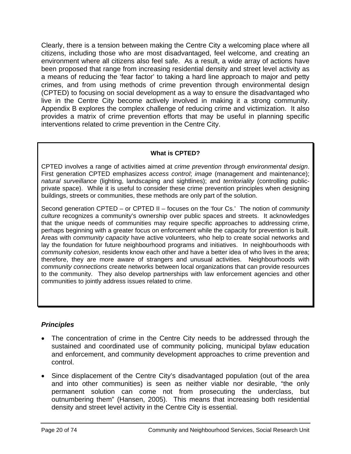Clearly, there is a tension between making the Centre City a welcoming place where all citizens, including those who are most disadvantaged, feel welcome, and creating an environment where all citizens also feel safe. As a result, a wide array of actions have been proposed that range from increasing residential density and street level activity as a means of reducing the 'fear factor' to taking a hard line approach to major and petty crimes, and from using methods of crime prevention through environmental design (CPTED) to focusing on social development as a way to ensure the disadvantaged who live in the Centre City become actively involved in making it a strong community. Appendix B explores the complex challenge of reducing crime and victimization. It also provides a matrix of crime prevention efforts that may be useful in planning specific interventions related to crime prevention in the Centre City.

# **What is CPTED?**

CPTED involves a range of activities aimed at *crime prevention through environmental design*. First generation CPTED emphasizes *access control*; *image* (management and maintenance); *natural surveillance* (lighting, landscaping and sightlines); and *territoriality* (controlling publicprivate space). While it is useful to consider these crime prevention principles when designing buildings, streets or communities, these methods are only part of the solution.

Second generation CPTED – or CPTED II – focuses on the 'four Cs.' The notion of *community culture* recognizes a community's ownership over public spaces and streets. It acknowledges that the unique needs of communities may require specific approaches to addressing crime, perhaps beginning with a greater focus on enforcement while the capacity for prevention is built. Areas with *community capacity* have active volunteers, who help to create social networks and lay the foundation for future neighbourhood programs and initiatives. In neighbourhoods with *community cohesion*, residents know each other and have a better idea of who lives in the area; therefore, they are more aware of strangers and unusual activities. Neighbourhoods with *community connections* create networks between local organizations that can provide resources to the community. They also develop partnerships with law enforcement agencies and other communities to jointly address issues related to crime.

# *Principles*

- The concentration of crime in the Centre City needs to be addressed through the sustained and coordinated use of community policing, municipal bylaw education and enforcement, and community development approaches to crime prevention and control.
- Since displacement of the Centre City's disadvantaged population (out of the area and into other communities) is seen as neither viable nor desirable, "the only permanent solution can come not from prosecuting the underclass, but outnumbering them" (Hansen, 2005). This means that increasing both residential density and street level activity in the Centre City is essential.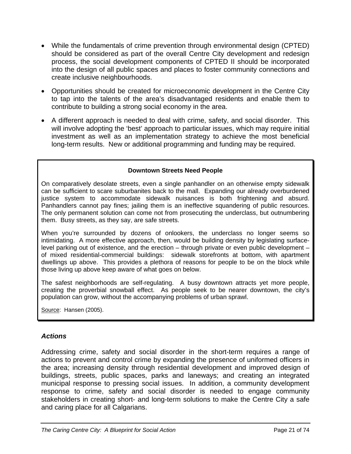- While the fundamentals of crime prevention through environmental design (CPTED) should be considered as part of the overall Centre City development and redesign process, the social development components of CPTED II should be incorporated into the design of all public spaces and places to foster community connections and create inclusive neighbourhoods.
- Opportunities should be created for microeconomic development in the Centre City to tap into the talents of the area's disadvantaged residents and enable them to contribute to building a strong social economy in the area.
- A different approach is needed to deal with crime, safety, and social disorder. This will involve adopting the 'best' approach to particular issues, which may require initial investment as well as an implementation strategy to achieve the most beneficial long-term results. New or additional programming and funding may be required.

#### **Downtown Streets Need People**

On comparatively desolate streets, even a single panhandler on an otherwise empty sidewalk can be sufficient to scare suburbanites back to the mall. Expanding our already overburdened justice system to accommodate sidewalk nuisances is both frightening and absurd. Panhandlers cannot pay fines; jailing them is an ineffective squandering of public resources. The only permanent solution can come not from prosecuting the underclass, but outnumbering them. Busy streets, as they say, are safe streets.

When you're surrounded by dozens of onlookers, the underclass no longer seems so intimidating. A more effective approach, then, would be building density by legislating surfacelevel parking out of existence, and the erection – through private or even public development – of mixed residential-commercial buildings: sidewalk storefronts at bottom, with apartment dwellings up above. This provides a plethora of reasons for people to be on the block while those living up above keep aware of what goes on below.

The safest neighborhoods are self-regulating. A busy downtown attracts yet more people, creating the proverbial snowball effect. As people seek to be nearer downtown, the city's population can grow, without the accompanying problems of urban sprawl.

Source: Hansen (2005).

#### *Actions*

Addressing crime, safety and social disorder in the short-term requires a range of actions to prevent and control crime by expanding the presence of uniformed officers in the area; increasing density through residential development and improved design of buildings, streets, public spaces, parks and laneways; and creating an integrated municipal response to pressing social issues. In addition, a community development response to crime, safety and social disorder is needed to engage community stakeholders in creating short- and long-term solutions to make the Centre City a safe and caring place for all Calgarians.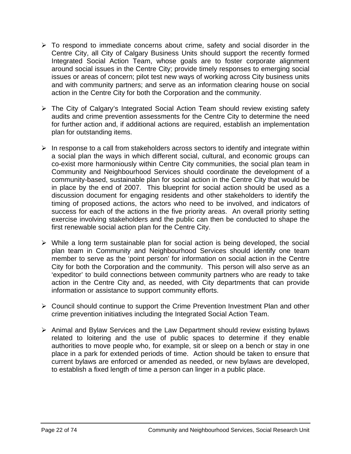- $\triangleright$  To respond to immediate concerns about crime, safety and social disorder in the Centre City, all City of Calgary Business Units should support the recently formed Integrated Social Action Team, whose goals are to foster corporate alignment around social issues in the Centre City; provide timely responses to emerging social issues or areas of concern; pilot test new ways of working across City business units and with community partners; and serve as an information clearing house on social action in the Centre City for both the Corporation and the community.
- $\triangleright$  The City of Calgary's Integrated Social Action Team should review existing safety audits and crime prevention assessments for the Centre City to determine the need for further action and, if additional actions are required, establish an implementation plan for outstanding items.
- $\triangleright$  In response to a call from stakeholders across sectors to identify and integrate within a social plan the ways in which different social, cultural, and economic groups can co-exist more harmoniously within Centre City communities, the social plan team in Community and Neighbourhood Services should coordinate the development of a community-based, sustainable plan for social action in the Centre City that would be in place by the end of 2007. This blueprint for social action should be used as a discussion document for engaging residents and other stakeholders to identify the timing of proposed actions, the actors who need to be involved, and indicators of success for each of the actions in the five priority areas. An overall priority setting exercise involving stakeholders and the public can then be conducted to shape the first renewable social action plan for the Centre City.
- $\triangleright$  While a long term sustainable plan for social action is being developed, the social plan team in Community and Neighbourhood Services should identify one team member to serve as the 'point person' for information on social action in the Centre City for both the Corporation and the community. This person will also serve as an 'expeditor' to build connections between community partners who are ready to take action in the Centre City and, as needed, with City departments that can provide information or assistance to support community efforts.
- ¾ Council should continue to support the Crime Prevention Investment Plan and other crime prevention initiatives including the Integrated Social Action Team.
- ¾ Animal and Bylaw Services and the Law Department should review existing bylaws related to loitering and the use of public spaces to determine if they enable authorities to move people who, for example, sit or sleep on a bench or stay in one place in a park for extended periods of time. Action should be taken to ensure that current bylaws are enforced or amended as needed, or new bylaws are developed, to establish a fixed length of time a person can linger in a public place.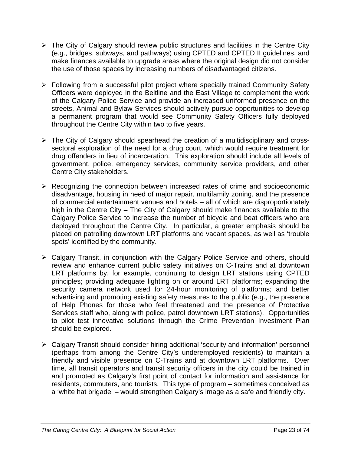- $\triangleright$  The City of Calgary should review public structures and facilities in the Centre City (e.g., bridges, subways, and pathways) using CPTED and CPTED II guidelines, and make finances available to upgrade areas where the original design did not consider the use of those spaces by increasing numbers of disadvantaged citizens.
- ¾ Following from a successful pilot project where specially trained Community Safety Officers were deployed in the Beltline and the East Village to complement the work of the Calgary Police Service and provide an increased uniformed presence on the streets, Animal and Bylaw Services should actively pursue opportunities to develop a permanent program that would see Community Safety Officers fully deployed throughout the Centre City within two to five years.
- $\triangleright$  The City of Calgary should spearhead the creation of a multidisciplinary and crosssectoral exploration of the need for a drug court, which would require treatment for drug offenders in lieu of incarceration. This exploration should include all levels of government, police, emergency services, community service providers, and other Centre City stakeholders.
- $\triangleright$  Recognizing the connection between increased rates of crime and socioeconomic disadvantage, housing in need of major repair, multifamily zoning, and the presence of commercial entertainment venues and hotels – all of which are disproportionately high in the Centre City – The City of Calgary should make finances available to the Calgary Police Service to increase the number of bicycle and beat officers who are deployed throughout the Centre City. In particular, a greater emphasis should be placed on patrolling downtown LRT platforms and vacant spaces, as well as 'trouble spots' identified by the community.
- ¾ Calgary Transit, in conjunction with the Calgary Police Service and others, should review and enhance current public safety initiatives on C-Trains and at downtown LRT platforms by, for example, continuing to design LRT stations using CPTED principles; providing adequate lighting on or around LRT platforms; expanding the security camera network used for 24-hour monitoring of platforms; and better advertising and promoting existing safety measures to the public (e.g., the presence of Help Phones for those who feel threatened and the presence of Protective Services staff who, along with police, patrol downtown LRT stations). Opportunities to pilot test innovative solutions through the Crime Prevention Investment Plan should be explored.
- ¾ Calgary Transit should consider hiring additional 'security and information' personnel (perhaps from among the Centre City's underemployed residents) to maintain a friendly and visible presence on C-Trains and at downtown LRT platforms. Over time, all transit operators and transit security officers in the city could be trained in and promoted as Calgary's first point of contact for information and assistance for residents, commuters, and tourists. This type of program – sometimes conceived as a 'white hat brigade' – would strengthen Calgary's image as a safe and friendly city.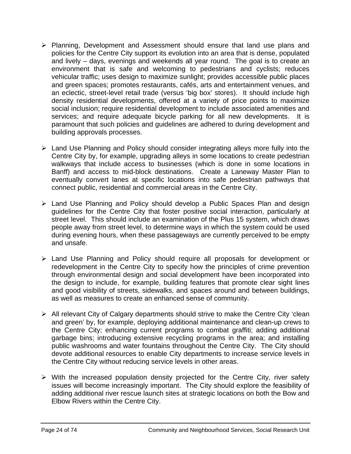- ¾ Planning, Development and Assessment should ensure that land use plans and policies for the Centre City support its evolution into an area that is dense, populated and lively – days, evenings and weekends all year round. The goal is to create an environment that is safe and welcoming to pedestrians and cyclists; reduces vehicular traffic; uses design to maximize sunlight; provides accessible public places and green spaces; promotes restaurants, cafés, arts and entertainment venues, and an eclectic, street-level retail trade (versus 'big box' stores). It should include high density residential developments, offered at a variety of price points to maximize social inclusion; require residential development to include associated amenities and services; and require adequate bicycle parking for all new developments. It is paramount that such policies and guidelines are adhered to during development and building approvals processes.
- $\triangleright$  Land Use Planning and Policy should consider integrating alleys more fully into the Centre City by, for example, upgrading alleys in some locations to create pedestrian walkways that include access to businesses (which is done in some locations in Banff) and access to mid-block destinations. Create a Laneway Master Plan to eventually convert lanes at specific locations into safe pedestrian pathways that connect public, residential and commercial areas in the Centre City.
- ¾ Land Use Planning and Policy should develop a Public Spaces Plan and design guidelines for the Centre City that foster positive social interaction, particularly at street level. This should include an examination of the Plus 15 system, which draws people away from street level, to determine ways in which the system could be used during evening hours, when these passageways are currently perceived to be empty and unsafe.
- ¾ Land Use Planning and Policy should require all proposals for development or redevelopment in the Centre City to specify how the principles of crime prevention through environmental design and social development have been incorporated into the design to include, for example, building features that promote clear sight lines and good visibility of streets, sidewalks, and spaces around and between buildings, as well as measures to create an enhanced sense of community.
- $\triangleright$  All relevant City of Calgary departments should strive to make the Centre City 'clean and green' by, for example, deploying additional maintenance and clean-up crews to the Centre City; enhancing current programs to combat graffiti; adding additional garbage bins; introducing extensive recycling programs in the area; and installing public washrooms and water fountains throughout the Centre City. The City should devote additional resources to enable City departments to increase service levels in the Centre City without reducing service levels in other areas.
- $\triangleright$  With the increased population density projected for the Centre City, river safety issues will become increasingly important. The City should explore the feasibility of adding additional river rescue launch sites at strategic locations on both the Bow and Elbow Rivers within the Centre City.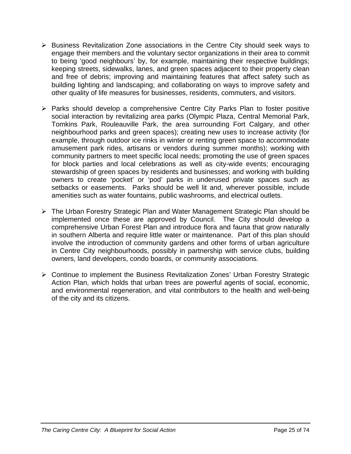- ¾ Business Revitalization Zone associations in the Centre City should seek ways to engage their members and the voluntary sector organizations in their area to commit to being 'good neighbours' by, for example, maintaining their respective buildings; keeping streets, sidewalks, lanes, and green spaces adjacent to their property clean and free of debris; improving and maintaining features that affect safety such as building lighting and landscaping; and collaborating on ways to improve safety and other quality of life measures for businesses, residents, commuters, and visitors.
- ¾ Parks should develop a comprehensive Centre City Parks Plan to foster positive social interaction by revitalizing area parks (Olympic Plaza, Central Memorial Park, Tomkins Park, Rouleauville Park, the area surrounding Fort Calgary, and other neighbourhood parks and green spaces); creating new uses to increase activity (for example, through outdoor ice rinks in winter or renting green space to accommodate amusement park rides, artisans or vendors during summer months); working with community partners to meet specific local needs; promoting the use of green spaces for block parties and local celebrations as well as city-wide events; encouraging stewardship of green spaces by residents and businesses; and working with building owners to create 'pocket' or 'pod' parks in underused private spaces such as setbacks or easements. Parks should be well lit and, wherever possible, include amenities such as water fountains, public washrooms, and electrical outlets.
- ¾ The Urban Forestry Strategic Plan and Water Management Strategic Plan should be implemented once these are approved by Council. The City should develop a comprehensive Urban Forest Plan and introduce flora and fauna that grow naturally in southern Alberta and require little water or maintenance. Part of this plan should involve the introduction of community gardens and other forms of urban agriculture in Centre City neighbourhoods, possibly in partnership with service clubs, building owners, land developers, condo boards, or community associations.
- ¾ Continue to implement the Business Revitalization Zones' Urban Forestry Strategic Action Plan, which holds that urban trees are powerful agents of social, economic, and environmental regeneration, and vital contributors to the health and well-being of the city and its citizens.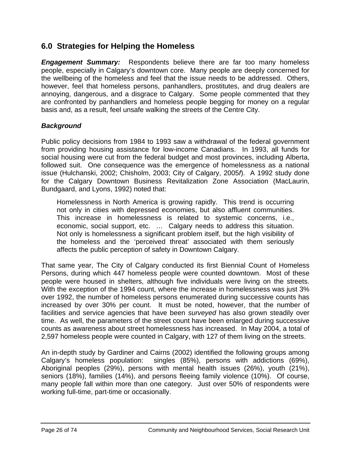# **6.0 Strategies for Helping the Homeless**

*Engagement Summary:* Respondents believe there are far too many homeless people, especially in Calgary's downtown core. Many people are deeply concerned for the wellbeing of the homeless and feel that the issue needs to be addressed. Others, however, feel that homeless persons, panhandlers, prostitutes, and drug dealers are annoying, dangerous, and a disgrace to Calgary. Some people commented that they are confronted by panhandlers and homeless people begging for money on a regular basis and, as a result, feel unsafe walking the streets of the Centre City.

#### *Background*

Public policy decisions from 1984 to 1993 saw a withdrawal of the federal government from providing housing assistance for low-income Canadians. In 1993, all funds for social housing were cut from the federal budget and most provinces, including Alberta, followed suit. One consequence was the emergence of homelessness as a national issue (Hulchanski, 2002; Chisholm, 2003; City of Calgary, 2005*f*). A 1992 study done for the Calgary Downtown Business Revitalization Zone Association (MacLaurin, Bundgaard, and Lyons, 1992) noted that:

Homelessness in North America is growing rapidly. This trend is occurring not only in cities with depressed economies, but also affluent communities. This increase in homelessness is related to systemic concerns, i.e., economic, social support, etc. … Calgary needs to address this situation. Not only is homelessness a significant problem itself, but the high visibility of the homeless and the 'perceived threat' associated with them seriously affects the public perception of safety in Downtown Calgary.

That same year, The City of Calgary conducted its first Biennial Count of Homeless Persons, during which 447 homeless people were counted downtown. Most of these people were housed in shelters, although five individuals were living on the streets. With the exception of the 1994 count, where the increase in homelessness was just 3% over 1992, the number of homeless persons enumerated during successive counts has increased by over 30% per count. It must be noted, however, that the number of facilities and service agencies that have been *surveyed* has also grown steadily over time. As well, the parameters of the street count have been enlarged during successive counts as awareness about street homelessness has increased. In May 2004, a total of 2,597 homeless people were counted in Calgary, with 127 of them living on the streets.

An in-depth study by Gardiner and Cairns (2002) identified the following groups among Calgary's homeless population: singles (85%), persons with addictions (69%), Aboriginal peoples (29%), persons with mental health issues (26%), youth (21%), seniors (18%), families (14%), and persons fleeing family violence (10%). Of course, many people fall within more than one category. Just over 50% of respondents were working full-time, part-time or occasionally.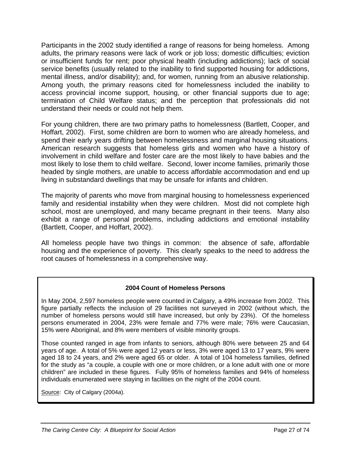Participants in the 2002 study identified a range of reasons for being homeless. Among adults, the primary reasons were lack of work or job loss; domestic difficulties; eviction or insufficient funds for rent; poor physical health (including addictions); lack of social service benefits (usually related to the inability to find supported housing for addictions, mental illness, and/or disability); and, for women, running from an abusive relationship. Among youth, the primary reasons cited for homelessness included the inability to access provincial income support, housing, or other financial supports due to age; termination of Child Welfare status; and the perception that professionals did not understand their needs or could not help them.

For young children, there are two primary paths to homelessness (Bartlett, Cooper, and Hoffart, 2002). First, some children are born to women who are already homeless, and spend their early years drifting between homelessness and marginal housing situations. American research suggests that homeless girls and women who have a history of involvement in child welfare and foster care are the most likely to have babies and the most likely to lose them to child welfare. Second, lower income families, primarily those headed by single mothers, are unable to access affordable accommodation and end up living in substandard dwellings that may be unsafe for infants and children.

The majority of parents who move from marginal housing to homelessness experienced family and residential instability when they were children. Most did not complete high school, most are unemployed, and many became pregnant in their teens. Many also exhibit a range of personal problems, including addictions and emotional instability (Bartlett, Cooper, and Hoffart, 2002).

All homeless people have two things in common: the absence of safe, affordable housing and the experience of poverty. This clearly speaks to the need to address the root causes of homelessness in a comprehensive way.

#### **2004 Count of Homeless Persons**

In May 2004, 2,597 homeless people were counted in Calgary, a 49% increase from 2002. This figure partially reflects the inclusion of 29 facilities not surveyed in 2002 (without which, the number of homeless persons would still have increased, but only by 23%). Of the homeless persons enumerated in 2004, 23% were female and 77% were male; 76% were Caucasian, 15% were Aboriginal, and 8% were members of visible minority groups.

Those counted ranged in age from infants to seniors, although 80% were between 25 and 64 years of age. A total of 5% were aged 12 years or less, 3% were aged 13 to 17 years, 9% were aged 18 to 24 years, and 2% were aged 65 or older. A total of 104 homeless families, defined for the study as "a couple, a couple with one or more children, or a lone adult with one or more children" are included in these figures. Fully 95% of homeless families and 94% of homeless individuals enumerated were staying in facilities on the night of the 2004 count.

Source: City of Calgary (2004*a*).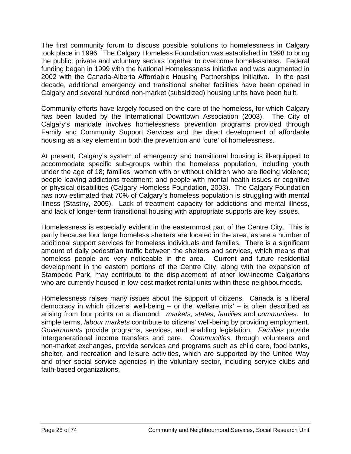The first community forum to discuss possible solutions to homelessness in Calgary took place in 1996. The Calgary Homeless Foundation was established in 1998 to bring the public, private and voluntary sectors together to overcome homelessness. Federal funding began in 1999 with the National Homelessness Initiative and was augmented in 2002 with the Canada-Alberta Affordable Housing Partnerships Initiative. In the past decade, additional emergency and transitional shelter facilities have been opened in Calgary and several hundred non-market (subsidized) housing units have been built.

Community efforts have largely focused on the care of the homeless, for which Calgary has been lauded by the International Downtown Association (2003). The City of Calgary's mandate involves homelessness prevention programs provided through Family and Community Support Services and the direct development of affordable housing as a key element in both the prevention and 'cure' of homelessness.

At present, Calgary's system of emergency and transitional housing is ill-equipped to accommodate specific sub-groups within the homeless population, including youth under the age of 18; families; women with or without children who are fleeing violence; people leaving addictions treatment; and people with mental health issues or cognitive or physical disabilities (Calgary Homeless Foundation, 2003). The Calgary Foundation has now estimated that 70% of Calgary's homeless population is struggling with mental illness (Stastny, 2005). Lack of treatment capacity for addictions and mental illness, and lack of longer-term transitional housing with appropriate supports are key issues.

Homelessness is especially evident in the easternmost part of the Centre City. This is partly because four large homeless shelters are located in the area, as are a number of additional support services for homeless individuals and families. There is a significant amount of daily pedestrian traffic between the shelters and services, which means that homeless people are very noticeable in the area. Current and future residential development in the eastern portions of the Centre City, along with the expansion of Stampede Park, may contribute to the displacement of other low-income Calgarians who are currently housed in low-cost market rental units within these neighbourhoods.

Homelessness raises many issues about the support of citizens. Canada is a liberal democracy in which citizens' well-being  $-$  or the 'welfare mix'  $-$  is often described as arising from four points on a diamond: *markets*, *states*, *families* and *communities*. In simple terms, *labour markets* contribute to citizens' well-being by providing employment. *Governments* provide programs, services, and enabling legislation. *Families* provide intergenerational income transfers and care. *Communities*, through volunteers and non-market exchanges, provide services and programs such as child care, food banks, shelter, and recreation and leisure activities, which are supported by the United Way and other social service agencies in the voluntary sector, including service clubs and faith-based organizations.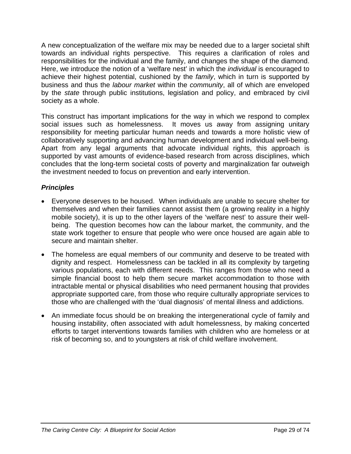A new conceptualization of the welfare mix may be needed due to a larger societal shift towards an individual rights perspective. This requires a clarification of roles and responsibilities for the individual and the family, and changes the shape of the diamond. Here, we introduce the notion of a 'welfare nest' in which the *individual* is encouraged to achieve their highest potential, cushioned by the *family*, which in turn is supported by business and thus the *labour market* within the *community*, all of which are enveloped by the *state* through public institutions, legislation and policy, and embraced by civil society as a whole.

This construct has important implications for the way in which we respond to complex social issues such as homelessness. It moves us away from assigning unitary responsibility for meeting particular human needs and towards a more holistic view of collaboratively supporting and advancing human development and individual well-being. Apart from any legal arguments that advocate individual rights, this approach is supported by vast amounts of evidence-based research from across disciplines, which concludes that the long-term societal costs of poverty and marginalization far outweigh the investment needed to focus on prevention and early intervention.

# *Principles*

- Everyone deserves to be housed. When individuals are unable to secure shelter for themselves and when their families cannot assist them (a growing reality in a highly mobile society), it is up to the other layers of the 'welfare nest' to assure their wellbeing. The question becomes how can the labour market, the community, and the state work together to ensure that people who were once housed are again able to secure and maintain shelter.
- The homeless are equal members of our community and deserve to be treated with dignity and respect. Homelessness can be tackled in all its complexity by targeting various populations, each with different needs. This ranges from those who need a simple financial boost to help them secure market accommodation to those with intractable mental or physical disabilities who need permanent housing that provides appropriate supported care, from those who require culturally appropriate services to those who are challenged with the 'dual diagnosis' of mental illness and addictions.
- An immediate focus should be on breaking the intergenerational cycle of family and housing instability, often associated with adult homelessness, by making concerted efforts to target interventions towards families with children who are homeless or at risk of becoming so, and to youngsters at risk of child welfare involvement.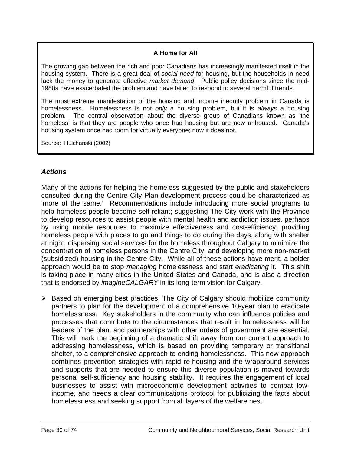## **A Home for All**

The growing gap between the rich and poor Canadians has increasingly manifested itself in the housing system. There is a great deal of *social need* for housing, but the households in need lack the money to generate effective *market demand*. Public policy decisions since the mid-1980s have exacerbated the problem and have failed to respond to several harmful trends.

The most extreme manifestation of the housing and income inequity problem in Canada is homelessness. Homelessness is not *only* a housing problem, but it is *always* a housing problem. The central observation about the diverse group of Canadians known as 'the homeless' is that they are people who once had housing but are now unhoused. Canada's housing system once had room for virtually everyone; now it does not.

Source: Hulchanski (2002).

# *Actions*

Many of the actions for helping the homeless suggested by the public and stakeholders consulted during the Centre City Plan development process could be characterized as 'more of the same.' Recommendations include introducing more social programs to help homeless people become self-reliant; suggesting The City work with the Province to develop resources to assist people with mental health and addiction issues, perhaps by using mobile resources to maximize effectiveness and cost-efficiency; providing homeless people with places to go and things to do during the days, along with shelter at night; dispersing social services for the homeless throughout Calgary to minimize the concentration of homeless persons in the Centre City; and developing more non-market (subsidized) housing in the Centre City. While all of these actions have merit, a bolder approach would be to stop *managing* homelessness and start *eradicating* it. This shift is taking place in many cities in the United States and Canada, and is also a direction that is endorsed by *imagineCALGARY* in its long-term vision for Calgary.

 $\triangleright$  Based on emerging best practices, The City of Calgary should mobilize community partners to plan for the development of a comprehensive 10-year plan to eradicate homelessness. Key stakeholders in the community who can influence policies and processes that contribute to the circumstances that result in homelessness will be leaders of the plan, and partnerships with other orders of government are essential. This will mark the beginning of a dramatic shift away from our current approach to addressing homelessness, which is based on providing temporary or transitional shelter, to a comprehensive approach to ending homelessness. This new approach combines prevention strategies with rapid re-housing and the wraparound services and supports that are needed to ensure this diverse population is moved towards personal self-sufficiency and housing stability. It requires the engagement of local businesses to assist with microeconomic development activities to combat lowincome, and needs a clear communications protocol for publicizing the facts about homelessness and seeking support from all layers of the welfare nest.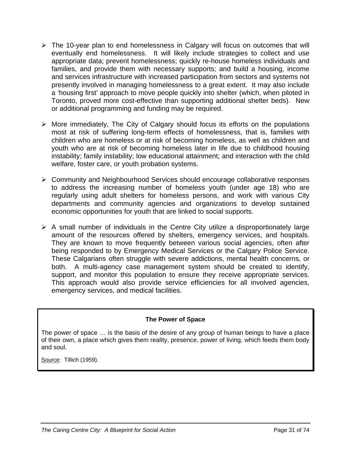- $\triangleright$  The 10-year plan to end homelessness in Calgary will focus on outcomes that will eventually end homelessness. It will likely include strategies to collect and use appropriate data; prevent homelessness; quickly re-house homeless individuals and families, and provide them with necessary supports; and build a housing, income and services infrastructure with increased participation from sectors and systems not presently involved in managing homelessness to a great extent. It may also include a 'housing first' approach to move people quickly into shelter (which, when piloted in Toronto, proved more cost-effective than supporting additional shelter beds). New or additional programming and funding may be required.
- $\triangleright$  More immediately, The City of Calgary should focus its efforts on the populations most at risk of suffering long-term effects of homelessness, that is, families with children who are homeless or at risk of becoming homeless, as well as children and youth who are at risk of becoming homeless later in life due to childhood housing instability; family instability; low educational attainment; and interaction with the child welfare, foster care, or youth probation systems.
- ¾ Community and Neighbourhood Services should encourage collaborative responses to address the increasing number of homeless youth (under age 18) who are regularly using adult shelters for homeless persons, and work with various City departments and community agencies and organizations to develop sustained economic opportunities for youth that are linked to social supports.
- $\triangleright$  A small number of individuals in the Centre City utilize a disproportionately large amount of the resources offered by shelters, emergency services, and hospitals. They are known to move frequently between various social agencies, often after being responded to by Emergency Medical Services or the Calgary Police Service. These Calgarians often struggle with severe addictions, mental health concerns, or both. A multi-agency case management system should be created to identify, support, and monitor this population to ensure they receive appropriate services. This approach would also provide service efficiencies for all involved agencies, emergency services, and medical facilities.

#### **The Power of Space**

The power of space … is the basis of the desire of any group of human beings to have a place of their own, a place which gives them reality, presence, power of living, which feeds them body and soul.

Source: Tillich (1959).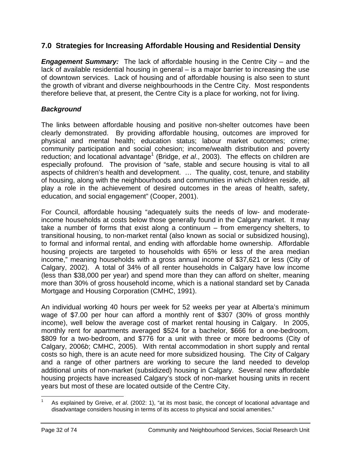# **7.0 Strategies for Increasing Affordable Housing and Residential Density**

*Engagement Summary:* The lack of affordable housing in the Centre City – and the lack of available residential housing in general – is a major barrier to increasing the use of downtown services. Lack of housing and of affordable housing is also seen to stunt the growth of vibrant and diverse neighbourhoods in the Centre City. Most respondents therefore believe that, at present, the Centre City is a place for working, not for living.

# *Background*

The links between affordable housing and positive non-shelter outcomes have been clearly demonstrated. By providing affordable housing, outcomes are improved for physical and mental health; education status; labour market outcomes; crime; community participation and social cohesion; income/wealth distribution and poverty reduction; and locational advantage<sup>[1](#page-31-0)</sup> (Bridge, et al., 2003). The effects on children are especially profound. The provision of "safe, stable and secure housing is vital to all aspects of children's health and development. … The quality, cost, tenure, and stability of housing, along with the neighbourhoods and communities in which children reside, all play a role in the achievement of desired outcomes in the areas of health, safety, education, and social engagement" (Cooper, 2001).

For Council, affordable housing "adequately suits the needs of low- and moderateincome households at costs below those generally found in the Calgary market. It may take a number of forms that exist along a continuum – from emergency shelters, to transitional housing, to non-market rental (also known as social or subsidized housing), to formal and informal rental, and ending with affordable home ownership. Affordable housing projects are targeted to households with 65% or less of the area median income," meaning households with a gross annual income of \$37,621 or less (City of Calgary, 2002). A total of 34% of all renter households in Calgary have low income (less than \$38,000 per year) and spend more than they can afford on shelter, meaning more than 30% of gross household income, which is a national standard set by Canada Mortgage and Housing Corporation (CMHC, 1991).

An individual working 40 hours per week for 52 weeks per year at Alberta's minimum wage of \$7.00 per hour can afford a monthly rent of \$307 (30% of gross monthly income), well below the average cost of market rental housing in Calgary. In 2005, monthly rent for apartments averaged \$524 for a bachelor, \$666 for a one-bedroom, \$809 for a two-bedroom, and \$776 for a unit with three or more bedrooms (City of Calgary, 2006*b*; CMHC, 2005). With rental accommodation in short supply and rental costs so high, there is an acute need for more subsidized housing. The City of Calgary and a range of other partners are working to secure the land needed to develop additional units of non-market (subsidized) housing in Calgary. Several new affordable housing projects have increased Calgary's stock of non-market housing units in recent years but most of these are located outside of the Centre City.

<span id="page-31-0"></span>As explained by Greive, et al. (2002: 1), "at its most basic, the concept of locational advantage and disadvantage considers housing in terms of its access to physical and social amenities."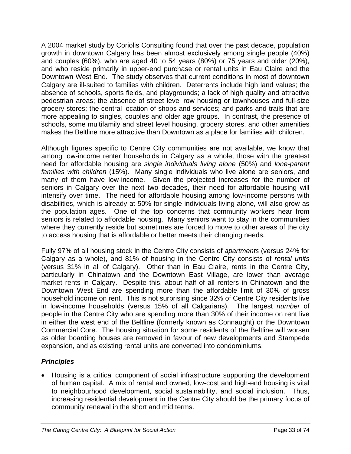A 2004 market study by Coriolis Consulting found that over the past decade, population growth in downtown Calgary has been almost exclusively among single people (40%) and couples (60%), who are aged 40 to 54 years (80%) or 75 years and older (20%), and who reside primarily in upper-end purchase or rental units in Eau Claire and the Downtown West End. The study observes that current conditions in most of downtown Calgary are ill-suited to families with children. Deterrents include high land values; the absence of schools, sports fields, and playgrounds; a lack of high quality and attractive pedestrian areas; the absence of street level row housing or townhouses and full-size grocery stores; the central location of shops and services; and parks and trails that are more appealing to singles, couples and older age groups. In contrast, the presence of schools, some multifamily and street level housing, grocery stores, and other amenities makes the Beltline more attractive than Downtown as a place for families with children.

Although figures specific to Centre City communities are not available, we know that among low-income renter households in Calgary as a whole, those with the greatest need for affordable housing are *single individuals living alone* (50%) and *lone-parent families with children* (15%). Many single individuals who live alone are seniors, and many of them have low-income. Given the projected increases for the number of seniors in Calgary over the next two decades, their need for affordable housing will intensify over time. The need for affordable housing among low-income persons with disabilities, which is already at 50% for single individuals living alone, will also grow as the population ages. One of the top concerns that community workers hear from seniors is related to affordable housing. Many seniors want to stay in the communities where they currently reside but sometimes are forced to move to other areas of the city to access housing that is affordable or better meets their changing needs.

Fully 97% of all housing stock in the Centre City consists of *apartments* (versus 24% for Calgary as a whole), and 81% of housing in the Centre City consists of *rental units* (versus 31% in all of Calgary). Other than in Eau Claire, rents in the Centre City, particularly in Chinatown and the Downtown East Village, are lower than average market rents in Calgary. Despite this, about half of all renters in Chinatown and the Downtown West End are spending more than the affordable limit of 30% of gross household income on rent. This is not surprising since 32% of Centre City residents live in low-income households (versus 15% of all Calgarians). The largest *number* of people in the Centre City who are spending more than 30% of their income on rent live in either the west end of the Beltline (formerly known as Connaught) or the Downtown Commercial Core. The housing situation for some residents of the Beltline will worsen as older boarding houses are removed in favour of new developments and Stampede expansion, and as existing rental units are converted into condominiums.

# *Principles*

• Housing is a critical component of social infrastructure supporting the development of human capital. A mix of rental and owned, low-cost and high-end housing is vital to neighbourhood development, social sustainability, and social inclusion. Thus, increasing residential development in the Centre City should be the primary focus of community renewal in the short and mid terms.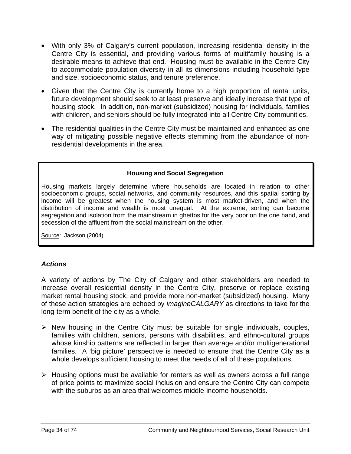- With only 3% of Calgary's current population, increasing residential density in the Centre City is essential, and providing various forms of multifamily housing is a desirable means to achieve that end. Housing must be available in the Centre City to accommodate population diversity in all its dimensions including household type and size, socioeconomic status, and tenure preference.
- Given that the Centre City is currently home to a high proportion of rental units, future development should seek to at least preserve and ideally increase that type of housing stock. In addition, non-market (subsidized) housing for individuals, families with children, and seniors should be fully integrated into all Centre City communities.
- The residential qualities in the Centre City must be maintained and enhanced as one way of mitigating possible negative effects stemming from the abundance of nonresidential developments in the area.

#### **Housing and Social Segregation**

Housing markets largely determine where households are located in relation to other socioeconomic groups, social networks, and community resources, and this spatial sorting by income will be greatest when the housing system is most market-driven, and when the distribution of income and wealth is most unequal. At the extreme, sorting can become segregation and isolation from the mainstream in ghettos for the very poor on the one hand, and secession of the affluent from the social mainstream on the other.

Source: Jackson (2004).

# *Actions*

A variety of actions by The City of Calgary and other stakeholders are needed to increase overall residential density in the Centre City, preserve or replace existing market rental housing stock, and provide more non-market (subsidized) housing. Many of these action strategies are echoed by *imagineCALGARY* as directions to take for the long-term benefit of the city as a whole.

- $\triangleright$  New housing in the Centre City must be suitable for single individuals, couples, families with children, seniors, persons with disabilities, and ethno-cultural groups whose kinship patterns are reflected in larger than average and/or multigenerational families. A 'big picture' perspective is needed to ensure that the Centre City as a whole develops sufficient housing to meet the needs of all of these populations.
- $\triangleright$  Housing options must be available for renters as well as owners across a full range of price points to maximize social inclusion and ensure the Centre City can compete with the suburbs as an area that welcomes middle-income households.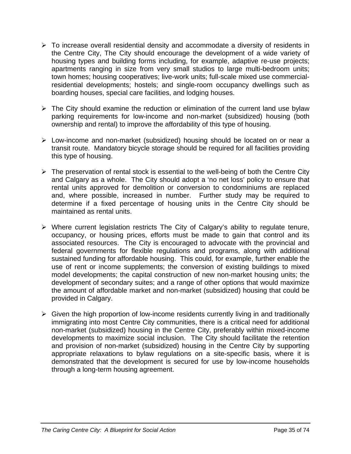- $\triangleright$  To increase overall residential density and accommodate a diversity of residents in the Centre City, The City should encourage the development of a wide variety of housing types and building forms including, for example, adaptive re-use projects; apartments ranging in size from very small studios to large multi-bedroom units; town homes; housing cooperatives; live-work units; full-scale mixed use commercialresidential developments; hostels; and single-room occupancy dwellings such as boarding houses, special care facilities, and lodging houses.
- $\triangleright$  The City should examine the reduction or elimination of the current land use bylaw parking requirements for low-income and non-market (subsidized) housing (both ownership and rental) to improve the affordability of this type of housing.
- ¾ Low-income and non-market (subsidized) housing should be located on or near a transit route. Mandatory bicycle storage should be required for all facilities providing this type of housing.
- $\triangleright$  The preservation of rental stock is essential to the well-being of both the Centre City and Calgary as a whole. The City should adopt a 'no net loss' policy to ensure that rental units approved for demolition or conversion to condominiums are replaced and, where possible, increased in number. Further study may be required to determine if a fixed percentage of housing units in the Centre City should be maintained as rental units.
- $\triangleright$  Where current legislation restricts The City of Calgary's ability to regulate tenure, occupancy, or housing prices, efforts must be made to gain that control and its associated resources. The City is encouraged to advocate with the provincial and federal governments for flexible regulations and programs, along with additional sustained funding for affordable housing. This could, for example, further enable the use of rent or income supplements; the conversion of existing buildings to mixed model developments; the capital construction of new non-market housing units; the development of secondary suites; and a range of other options that would maximize the amount of affordable market and non-market (subsidized) housing that could be provided in Calgary.
- $\triangleright$  Given the high proportion of low-income residents currently living in and traditionally immigrating into most Centre City communities, there is a critical need for additional non-market (subsidized) housing in the Centre City, preferably within mixed-income developments to maximize social inclusion. The City should facilitate the retention and provision of non-market (subsidized) housing in the Centre City by supporting appropriate relaxations to bylaw regulations on a site-specific basis, where it is demonstrated that the development is secured for use by low-income households through a long-term housing agreement.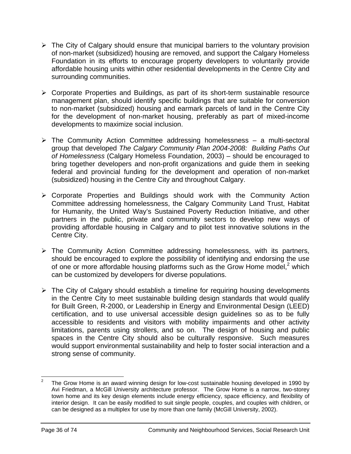- $\triangleright$  The City of Calgary should ensure that municipal barriers to the voluntary provision of non-market (subsidized) housing are removed, and support the Calgary Homeless Foundation in its efforts to encourage property developers to voluntarily provide affordable housing units within other residential developments in the Centre City and surrounding communities.
- $\triangleright$  Corporate Properties and Buildings, as part of its short-term sustainable resource management plan, should identify specific buildings that are suitable for conversion to non-market (subsidized) housing and earmark parcels of land in the Centre City for the development of non-market housing, preferably as part of mixed-income developments to maximize social inclusion.
- $\triangleright$  The Community Action Committee addressing homelessness a multi-sectoral group that developed *The Calgary Community Plan 2004-2008: Building Paths Out of Homelessness* (Calgary Homeless Foundation, 2003) – should be encouraged to bring together developers and non-profit organizations and guide them in seeking federal and provincial funding for the development and operation of non-market (subsidized) housing in the Centre City and throughout Calgary.
- ¾ Corporate Properties and Buildings should work with the Community Action Committee addressing homelessness, the Calgary Community Land Trust, Habitat for Humanity, the United Way's Sustained Poverty Reduction Initiative, and other partners in the public, private and community sectors to develop new ways of providing affordable housing in Calgary and to pilot test innovative solutions in the Centre City.
- $\triangleright$  The Community Action Committee addressing homelessness, with its partners, should be encouraged to explore the possibility of identifying and endorsing the use of one or more affordable housing platforms such as the Grow Home model, $2$  which can be customized by developers for diverse populations.
- $\triangleright$  The City of Calgary should establish a timeline for requiring housing developments in the Centre City to meet sustainable building design standards that would qualify for Built Green, R-2000, or Leadership in Energy and Environmental Design (LEED) certification, and to use universal accessible design guidelines so as to be fully accessible to residents and visitors with mobility impairments and other activity limitations, parents using strollers, and so on. The design of housing and public spaces in the Centre City should also be culturally responsive. Such measures would support environmental sustainability and help to foster social interaction and a strong sense of community.

<span id="page-35-0"></span><sup>&</sup>lt;sup>2</sup> The Grow Home is an award winning design for low-cost sustainable housing developed in 1990 by Avi Friedman, a McGill University architecture professor. The Grow Home is a narrow, two-storey town home and its key design elements include energy efficiency, space efficiency, and flexibility of interior design. It can be easily modified to suit single people, couples, and couples with children, or can be designed as a multiplex for use by more than one family (McGill University, 2002).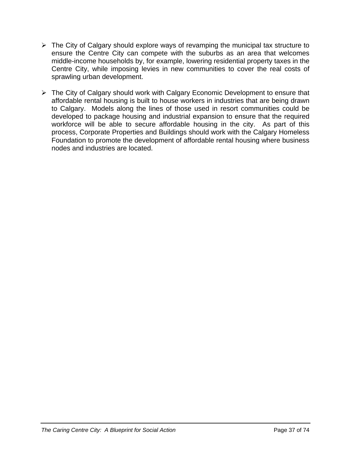- $\triangleright$  The City of Calgary should explore ways of revamping the municipal tax structure to ensure the Centre City can compete with the suburbs as an area that welcomes middle-income households by, for example, lowering residential property taxes in the Centre City, while imposing levies in new communities to cover the real costs of sprawling urban development.
- $\triangleright$  The City of Calgary should work with Calgary Economic Development to ensure that affordable rental housing is built to house workers in industries that are being drawn to Calgary. Models along the lines of those used in resort communities could be developed to package housing and industrial expansion to ensure that the required workforce will be able to secure affordable housing in the city. As part of this process, Corporate Properties and Buildings should work with the Calgary Homeless Foundation to promote the development of affordable rental housing where business nodes and industries are located.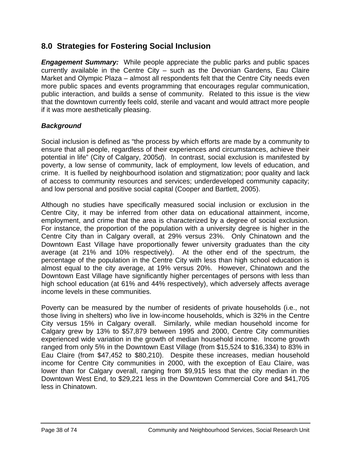# **8.0 Strategies for Fostering Social Inclusion**

*Engagement Summary:* While people appreciate the public parks and public spaces currently available in the Centre City – such as the Devonian Gardens, Eau Claire Market and Olympic Plaza – almost all respondents felt that the Centre City needs even more public spaces and events programming that encourages regular communication, public interaction, and builds a sense of community. Related to this issue is the view that the downtown currently feels cold, sterile and vacant and would attract more people if it was more aesthetically pleasing.

### *Background*

Social inclusion is defined as "the process by which efforts are made by a community to ensure that all people, regardless of their experiences and circumstances, achieve their potential in life" (City of Calgary, 2005*d*). In contrast, social exclusion is manifested by poverty, a low sense of community, lack of employment, low levels of education, and crime. It is fuelled by neighbourhood isolation and stigmatization; poor quality and lack of access to community resources and services; underdeveloped community capacity; and low personal and positive social capital (Cooper and Bartlett, 2005).

Although no studies have specifically measured social inclusion or exclusion in the Centre City, it may be inferred from other data on educational attainment, income, employment, and crime that the area is characterized by a degree of social exclusion. For instance, the proportion of the population with a university degree is higher in the Centre City than in Calgary overall, at 29% versus 23%. Only Chinatown and the Downtown East Village have proportionally fewer university graduates than the city average (at 21% and 10% respectively). At the other end of the spectrum, the percentage of the population in the Centre City with less than high school education is almost equal to the city average, at 19% versus 20%. However, Chinatown and the Downtown East Village have significantly higher percentages of persons with less than high school education (at 61% and 44% respectively), which adversely affects average income levels in these communities.

Poverty can be measured by the number of residents of private households (i.e., not those living in shelters) who live in low-income households, which is 32% in the Centre City versus 15% in Calgary overall. Similarly, while median household income for Calgary grew by 13% to \$57,879 between 1995 and 2000, Centre City communities experienced wide variation in the growth of median household income. Income growth ranged from only 5% in the Downtown East Village (from \$15,524 to \$16,334) to 83% in Eau Claire (from \$47,452 to \$80,210). Despite these increases, median household income for Centre City communities in 2000, with the exception of Eau Claire, was lower than for Calgary overall, ranging from \$9,915 less that the city median in the Downtown West End, to \$29,221 less in the Downtown Commercial Core and \$41,705 less in Chinatown.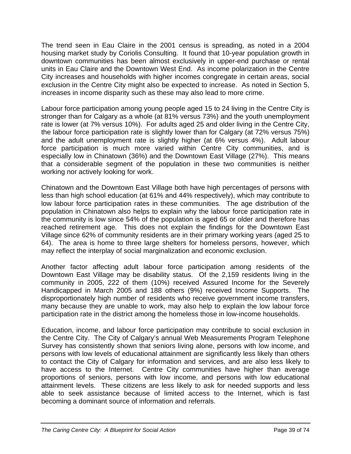The trend seen in Eau Claire in the 2001 census is spreading, as noted in a 2004 housing market study by Coriolis Consulting. It found that 10-year population growth in downtown communities has been almost exclusively in upper-end purchase or rental units in Eau Claire and the Downtown West End. As income polarization in the Centre City increases and households with higher incomes congregate in certain areas, social exclusion in the Centre City might also be expected to increase. As noted in Section 5, increases in income disparity such as these may also lead to more crime.

Labour force participation among young people aged 15 to 24 living in the Centre City is stronger than for Calgary as a whole (at 81% versus 73%) and the youth unemployment rate is lower (at 7% versus 10%). For adults aged 25 and older living in the Centre City, the labour force participation rate is slightly lower than for Calgary (at 72% versus 75%) and the adult unemployment rate is slightly higher (at 6% versus 4%). Adult labour force participation is much more varied within Centre City communities, and is especially low in Chinatown (36%) and the Downtown East Village (27%). This means that a considerable segment of the population in these two communities is neither working nor actively looking for work.

Chinatown and the Downtown East Village both have high percentages of persons with less than high school education (at 61% and 44% respectively), which may contribute to low labour force participation rates in these communities. The age distribution of the population in Chinatown also helps to explain why the labour force participation rate in the community is low since 54% of the population is aged 65 or older and therefore has reached retirement age. This does not explain the findings for the Downtown East Village since 62% of community residents are in their primary working years (aged 25 to 64). The area is home to three large shelters for homeless persons, however, which may reflect the interplay of social marginalization and economic exclusion.

Another factor affecting adult labour force participation among residents of the Downtown East Village may be disability status. Of the 2,159 residents living in the community in 2005, 222 of them (10%) received Assured Income for the Severely Handicapped in March 2005 and 188 others (9%) received Income Supports. The disproportionately high number of residents who receive government income transfers, many because they are unable to work, may also help to explain the low labour force participation rate in the district among the homeless those in low-income households.

Education, income, and labour force participation may contribute to social exclusion in the Centre City. The City of Calgary's annual Web Measurements Program Telephone Survey has consistently shown that seniors living alone, persons with low income, and persons with low levels of educational attainment are significantly less likely than others to contact the City of Calgary for information and services, and are also less likely to have access to the Internet. Centre City communities have higher than average proportions of seniors, persons with low income, and persons with low educational attainment levels. These citizens are less likely to ask for needed supports and less able to seek assistance because of limited access to the Internet, which is fast becoming a dominant source of information and referrals.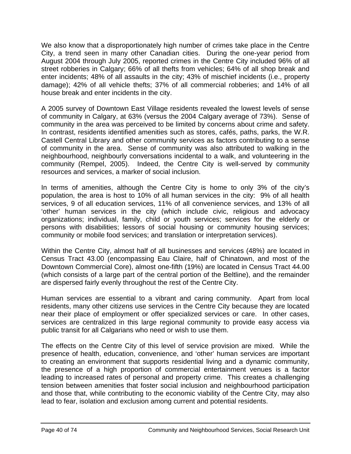We also know that a disproportionately high number of crimes take place in the Centre City, a trend seen in many other Canadian cities. During the one-year period from August 2004 through July 2005, reported crimes in the Centre City included 96% of all street robberies in Calgary; 66% of all thefts from vehicles; 64% of all shop break and enter incidents; 48% of all assaults in the city; 43% of mischief incidents (i.e., property damage); 42% of all vehicle thefts; 37% of all commercial robberies; and 14% of all house break and enter incidents in the city.

A 2005 survey of Downtown East Village residents revealed the lowest levels of sense of community in Calgary, at 63% (versus the 2004 Calgary average of 73%). Sense of community in the area was perceived to be limited by concerns about crime and safety. In contrast, residents identified amenities such as stores, cafés, paths, parks, the W.R. Castell Central Library and other community services as factors contributing to a sense of community in the area. Sense of community was also attributed to walking in the neighbourhood, neighbourly conversations incidental to a walk, and volunteering in the community (Rempel, 2005). Indeed, the Centre City is well-served by community resources and services, a marker of social inclusion.

In terms of amenities, although the Centre City is home to only 3% of the city's population, the area is host to 10% of all human services in the city: 9% of all health services, 9 of all education services, 11% of all convenience services, and 13% of all 'other' human services in the city (which include civic, religious and advocacy organizations; individual, family, child or youth services; services for the elderly or persons with disabilities; lessors of social housing or community housing services; community or mobile food services; and translation or interpretation services).

Within the Centre City, almost half of all businesses and services (48%) are located in Census Tract 43.00 (encompassing Eau Claire, half of Chinatown, and most of the Downtown Commercial Core), almost one-fifth (19%) are located in Census Tract 44.00 (which consists of a large part of the central portion of the Beltline), and the remainder are dispersed fairly evenly throughout the rest of the Centre City.

Human services are essential to a vibrant and caring community. Apart from local residents, many other citizens use services in the Centre City because they are located near their place of employment or offer specialized services or care. In other cases, services are centralized in this large regional community to provide easy access via public transit for all Calgarians who need or wish to use them.

The effects on the Centre City of this level of service provision are mixed. While the presence of health, education, convenience, and 'other' human services are important to creating an environment that supports residential living and a dynamic community, the presence of a high proportion of commercial entertainment venues is a factor leading to increased rates of personal and property crime. This creates a challenging tension between amenities that foster social inclusion and neighbourhood participation and those that, while contributing to the economic viability of the Centre City, may also lead to fear, isolation and exclusion among current and potential residents.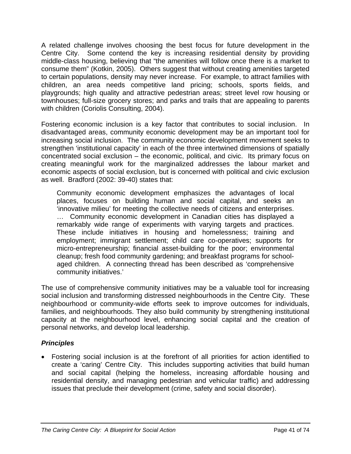A related challenge involves choosing the best focus for future development in the Centre City. Some contend the key is increasing residential density by providing middle-class housing, believing that "the amenities will follow once there is a market to consume them" (Kotkin, 2005). Others suggest that without creating amenities targeted to certain populations, density may never increase. For example, to attract families with children, an area needs competitive land pricing; schools, sports fields, and playgrounds; high quality and attractive pedestrian areas; street level row housing or townhouses; full-size grocery stores; and parks and trails that are appealing to parents with children (Coriolis Consulting, 2004).

Fostering economic inclusion is a key factor that contributes to social inclusion. In disadvantaged areas, community economic development may be an important tool for increasing social inclusion. The community economic development movement seeks to strengthen 'institutional capacity' in each of the three intertwined dimensions of spatially concentrated social exclusion – the economic, political, and civic. Its primary focus on creating meaningful work for the marginalized addresses the labour market and economic aspects of social exclusion, but is concerned with political and civic exclusion as well. Bradford (2002: 39-40) states that:

Community economic development emphasizes the advantages of local places, focuses on building human and social capital, and seeks an 'innovative milieu' for meeting the collective needs of citizens and enterprises. … Community economic development in Canadian cities has displayed a remarkably wide range of experiments with varying targets and practices. These include initiatives in housing and homelessness; training and employment; immigrant settlement; child care co-operatives; supports for micro-entrepreneurship; financial asset-building for the poor; environmental cleanup; fresh food community gardening; and breakfast programs for schoolaged children. A connecting thread has been described as 'comprehensive community initiatives.'

The use of comprehensive community initiatives may be a valuable tool for increasing social inclusion and transforming distressed neighbourhoods in the Centre City. These neighbourhood or community-wide efforts seek to improve outcomes for individuals, families, and neighbourhoods. They also build community by strengthening institutional capacity at the neighbourhood level, enhancing social capital and the creation of personal networks, and develop local leadership.

### *Principles*

• Fostering social inclusion is at the forefront of all priorities for action identified to create a 'caring' Centre City. This includes supporting activities that build human and social capital (helping the homeless, increasing affordable housing and residential density, and managing pedestrian and vehicular traffic) and addressing issues that preclude their development (crime, safety and social disorder).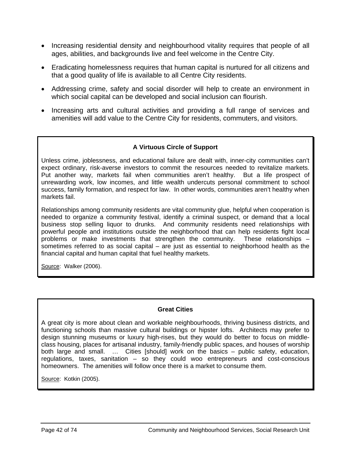- Increasing residential density and neighbourhood vitality requires that people of all ages, abilities, and backgrounds live and feel welcome in the Centre City.
- Eradicating homelessness requires that human capital is nurtured for all citizens and that a good quality of life is available to all Centre City residents.
- Addressing crime, safety and social disorder will help to create an environment in which social capital can be developed and social inclusion can flourish.
- Increasing arts and cultural activities and providing a full range of services and amenities will add value to the Centre City for residents, commuters, and visitors.

### **A Virtuous Circle of Support**

Unless crime, joblessness, and educational failure are dealt with, inner-city communities can't expect ordinary, risk-averse investors to commit the resources needed to revitalize markets. Put another way, markets fail when communities aren't healthy. But a life prospect of unrewarding work, low incomes, and little wealth undercuts personal commitment to school success, family formation, and respect for law. In other words, communities aren't healthy when markets fail.

Relationships among community residents are vital community glue, helpful when cooperation is needed to organize a community festival, identify a criminal suspect, or demand that a local business stop selling liquor to drunks. And community residents need relationships with powerful people and institutions outside the neighborhood that can help residents fight local problems or make investments that strengthen the community. These relationships – sometimes referred to as social capital – are just as essential to neighborhood health as the financial capital and human capital that fuel healthy markets.

Source: Walker (2006).

#### **Great Cities**

A great city is more about clean and workable neighbourhoods, thriving business districts, and functioning schools than massive cultural buildings or hipster lofts. Architects may prefer to design stunning museums or luxury high-rises, but they would do better to focus on middleclass housing, places for artisanal industry, family-friendly public spaces, and houses of worship both large and small. … Cities [should] work on the basics – public safety, education, regulations, taxes, sanitation – so they could woo entrepreneurs and cost-conscious homeowners. The amenities will follow once there is a market to consume them.

Source: Kotkin (2005).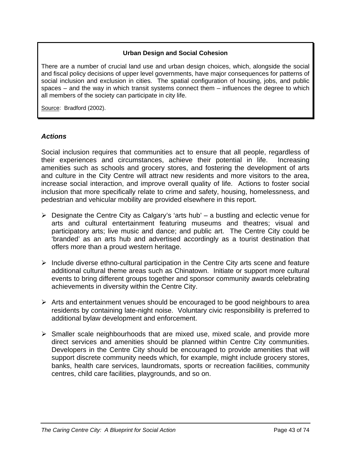### **Urban Design and Social Cohesion**

There are a number of crucial land use and urban design choices, which, alongside the social and fiscal policy decisions of upper level governments, have major consequences for patterns of social inclusion and exclusion in cities. The spatial configuration of housing, jobs, and public spaces – and the way in which transit systems connect them – influences the degree to which all members of the society can participate in city life.

Source: Bradford (2002).

### *Actions*

Social inclusion requires that communities act to ensure that all people, regardless of their experiences and circumstances, achieve their potential in life. Increasing amenities such as schools and grocery stores, and fostering the development of arts and culture in the City Centre will attract new residents and more visitors to the area, increase social interaction, and improve overall quality of life. Actions to foster social inclusion that more specifically relate to crime and safety, housing, homelessness, and pedestrian and vehicular mobility are provided elsewhere in this report.

- $\triangleright$  Designate the Centre City as Calgary's 'arts hub' a bustling and eclectic venue for arts and cultural entertainment featuring museums and theatres; visual and participatory arts; live music and dance; and public art. The Centre City could be 'branded' as an arts hub and advertised accordingly as a tourist destination that offers more than a proud western heritage.
- $\triangleright$  Include diverse ethno-cultural participation in the Centre City arts scene and feature additional cultural theme areas such as Chinatown. Initiate or support more cultural events to bring different groups together and sponsor community awards celebrating achievements in diversity within the Centre City.
- $\triangleright$  Arts and entertainment venues should be encouraged to be good neighbours to area residents by containing late-night noise. Voluntary civic responsibility is preferred to additional bylaw development and enforcement.
- $\triangleright$  Smaller scale neighbourhoods that are mixed use, mixed scale, and provide more direct services and amenities should be planned within Centre City communities. Developers in the Centre City should be encouraged to provide amenities that will support discrete community needs which, for example, might include grocery stores, banks, health care services, laundromats, sports or recreation facilities, community centres, child care facilities, playgrounds, and so on.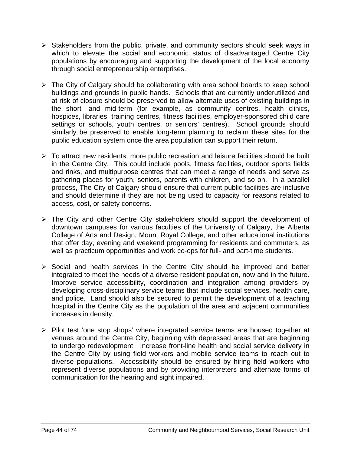- $\triangleright$  Stakeholders from the public, private, and community sectors should seek ways in which to elevate the social and economic status of disadvantaged Centre City populations by encouraging and supporting the development of the local economy through social entrepreneurship enterprises.
- $\triangleright$  The City of Calgary should be collaborating with area school boards to keep school buildings and grounds in public hands. Schools that are currently underutilized and at risk of closure should be preserved to allow alternate uses of existing buildings in the short- and mid-term (for example, as community centres, health clinics, hospices, libraries, training centres, fitness facilities, employer-sponsored child care settings or schools, youth centres, or seniors' centres). School grounds should similarly be preserved to enable long-term planning to reclaim these sites for the public education system once the area population can support their return.
- $\triangleright$  To attract new residents, more public recreation and leisure facilities should be built in the Centre City. This could include pools, fitness facilities, outdoor sports fields and rinks, and multipurpose centres that can meet a range of needs and serve as gathering places for youth, seniors, parents with children, and so on. In a parallel process, The City of Calgary should ensure that current public facilities are inclusive and should determine if they are not being used to capacity for reasons related to access, cost, or safety concerns.
- $\triangleright$  The City and other Centre City stakeholders should support the development of downtown campuses for various faculties of the University of Calgary, the Alberta College of Arts and Design, Mount Royal College, and other educational institutions that offer day, evening and weekend programming for residents and commuters, as well as practicum opportunities and work co-ops for full- and part-time students.
- $\triangleright$  Social and health services in the Centre City should be improved and better integrated to meet the needs of a diverse resident population, now and in the future. Improve service accessibility, coordination and integration among providers by developing cross-disciplinary service teams that include social services, health care, and police. Land should also be secured to permit the development of a teaching hospital in the Centre City as the population of the area and adjacent communities increases in density.
- ¾ Pilot test 'one stop shops' where integrated service teams are housed together at venues around the Centre City, beginning with depressed areas that are beginning to undergo redevelopment. Increase front-line health and social service delivery in the Centre City by using field workers and mobile service teams to reach out to diverse populations. Accessibility should be ensured by hiring field workers who represent diverse populations and by providing interpreters and alternate forms of communication for the hearing and sight impaired.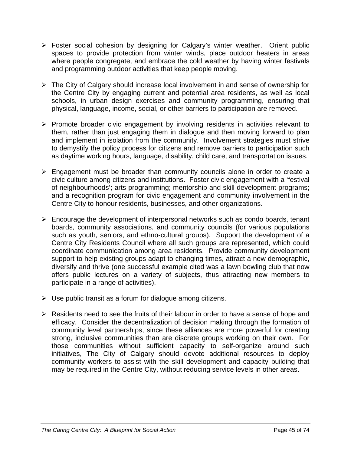- ¾ Foster social cohesion by designing for Calgary's winter weather. Orient public spaces to provide protection from winter winds, place outdoor heaters in areas where people congregate, and embrace the cold weather by having winter festivals and programming outdoor activities that keep people moving.
- $\triangleright$  The City of Calgary should increase local involvement in and sense of ownership for the Centre City by engaging current and potential area residents, as well as local schools, in urban design exercises and community programming, ensuring that physical, language, income, social, or other barriers to participation are removed.
- $\triangleright$  Promote broader civic engagement by involving residents in activities relevant to them, rather than just engaging them in dialogue and then moving forward to plan and implement in isolation from the community. Involvement strategies must strive to demystify the policy process for citizens and remove barriers to participation such as daytime working hours, language, disability, child care, and transportation issues.
- $\triangleright$  Engagement must be broader than community councils alone in order to create a civic culture among citizens and institutions. Foster civic engagement with a 'festival of neighbourhoods'; arts programming; mentorship and skill development programs; and a recognition program for civic engagement and community involvement in the Centre City to honour residents, businesses, and other organizations.
- $\triangleright$  Encourage the development of interpersonal networks such as condo boards, tenant boards, community associations, and community councils (for various populations such as youth, seniors, and ethno-cultural groups). Support the development of a Centre City Residents Council where all such groups are represented, which could coordinate communication among area residents. Provide community development support to help existing groups adapt to changing times, attract a new demographic, diversify and thrive (one successful example cited was a lawn bowling club that now offers public lectures on a variety of subjects, thus attracting new members to participate in a range of activities).
- $\triangleright$  Use public transit as a forum for dialogue among citizens.
- $\triangleright$  Residents need to see the fruits of their labour in order to have a sense of hope and efficacy. Consider the decentralization of decision making through the formation of community level partnerships, since these alliances are more powerful for creating strong, inclusive communities than are discrete groups working on their own. For those communities without sufficient capacity to self-organize around such initiatives, The City of Calgary should devote additional resources to deploy community workers to assist with the skill development and capacity building that may be required in the Centre City, without reducing service levels in other areas.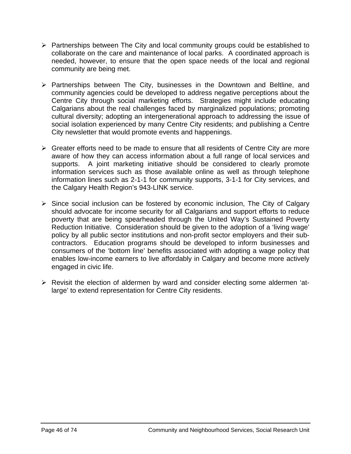- $\triangleright$  Partnerships between The City and local community groups could be established to collaborate on the care and maintenance of local parks. A coordinated approach is needed, however, to ensure that the open space needs of the local and regional community are being met.
- ¾ Partnerships between The City, businesses in the Downtown and Beltline, and community agencies could be developed to address negative perceptions about the Centre City through social marketing efforts. Strategies might include educating Calgarians about the real challenges faced by marginalized populations; promoting cultural diversity; adopting an intergenerational approach to addressing the issue of social isolation experienced by many Centre City residents; and publishing a Centre City newsletter that would promote events and happenings.
- $\triangleright$  Greater efforts need to be made to ensure that all residents of Centre City are more aware of how they can access information about a full range of local services and supports. A joint marketing initiative should be considered to clearly promote information services such as those available online as well as through telephone information lines such as 2-1-1 for community supports, 3-1-1 for City services, and the Calgary Health Region's 943-LINK service.
- $\triangleright$  Since social inclusion can be fostered by economic inclusion, The City of Calgary should advocate for income security for all Calgarians and support efforts to reduce poverty that are being spearheaded through the United Way's Sustained Poverty Reduction Initiative. Consideration should be given to the adoption of a 'living wage' policy by all public sector institutions and non-profit sector employers and their subcontractors. Education programs should be developed to inform businesses and consumers of the 'bottom line' benefits associated with adopting a wage policy that enables low-income earners to live affordably in Calgary and become more actively engaged in civic life.
- ¾ Revisit the election of aldermen by ward and consider electing some aldermen 'atlarge' to extend representation for Centre City residents.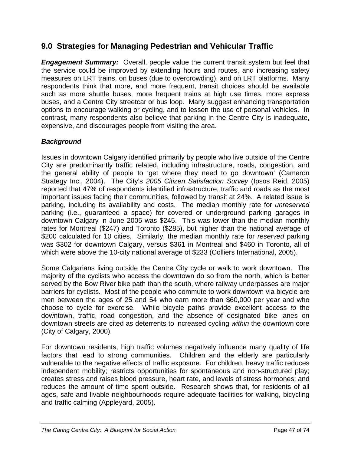# **9.0 Strategies for Managing Pedestrian and Vehicular Traffic**

*Engagement Summary:* Overall, people value the current transit system but feel that the service could be improved by extending hours and routes, and increasing safety measures on LRT trains, on buses (due to overcrowding), and on LRT platforms. Many respondents think that more, and more frequent, transit choices should be available such as more shuttle buses, more frequent trains at high use times, more express buses, and a Centre City streetcar or bus loop. Many suggest enhancing transportation options to encourage walking or cycling, and to lessen the use of personal vehicles. In contrast, many respondents also believe that parking in the Centre City is inadequate, expensive, and discourages people from visiting the area.

### *Background*

Issues in downtown Calgary identified primarily by people who live outside of the Centre City are predominantly traffic related, including infrastructure, roads, congestion, and the general ability of people to 'get where they need to go downtown' (Cameron Strategy Inc., 2004). The City's *2005 Citizen Satisfaction Survey* (Ipsos Reid, 2005) reported that 47% of respondents identified infrastructure, traffic and roads as the most important issues facing their communities, followed by transit at 24%. A related issue is parking, including its availability and costs. The median monthly rate for *unreserved* parking (i.e., guaranteed a space) for covered or underground parking garages in downtown Calgary in June 2005 was \$245. This was lower than the median monthly rates for Montreal (\$247) and Toronto (\$285), but higher than the national average of \$200 calculated for 10 cities. Similarly, the median monthly rate for *reserved* parking was \$302 for downtown Calgary, versus \$361 in Montreal and \$460 in Toronto, all of which were above the 10-city national average of \$233 (Colliers International, 2005).

Some Calgarians living outside the Centre City cycle or walk to work downtown. The majority of the cyclists who access the downtown do so from the north, which is better served by the Bow River bike path than the south, where railway underpasses are major barriers for cyclists. Most of the people who commute to work downtown via bicycle are men between the ages of 25 and 54 who earn more than \$60,000 per year and who choose to cycle for exercise. While bicycle paths provide excellent access *to* the downtown, traffic, road congestion, and the absence of designated bike lanes on downtown streets are cited as deterrents to increased cycling *within* the downtown core (City of Calgary, 2000).

For downtown residents, high traffic volumes negatively influence many quality of life factors that lead to strong communities. Children and the elderly are particularly vulnerable to the negative effects of traffic exposure. For children, heavy traffic reduces independent mobility; restricts opportunities for spontaneous and non-structured play; creates stress and raises blood pressure, heart rate, and levels of stress hormones; and reduces the amount of time spent outside. Research shows that, for residents of all ages, safe and livable neighbourhoods require adequate facilities for walking, bicycling and traffic calming (Appleyard, 2005).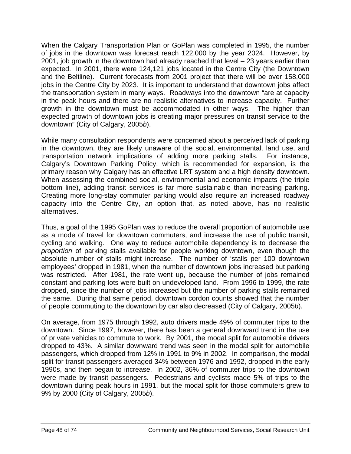When the Calgary Transportation Plan or GoPlan was completed in 1995, the number of jobs in the downtown was forecast reach 122,000 by the year 2024. However, by 2001, job growth in the downtown had already reached that level – 23 years earlier than expected. In 2001, there were 124,121 jobs located in the Centre City (the Downtown and the Beltline). Current forecasts from 2001 project that there will be over 158,000 jobs in the Centre City by 2023. It is important to understand that downtown jobs affect the transportation system in many ways. Roadways into the downtown "are at capacity in the peak hours and there are no realistic alternatives to increase capacity. Further growth in the downtown must be accommodated in other ways. The higher than expected growth of downtown jobs is creating major pressures on transit service to the downtown" (City of Calgary, 2005*b*).

While many consultation respondents were concerned about a perceived lack of parking in the downtown, they are likely unaware of the social, environmental, land use, and transportation network implications of adding more parking stalls. For instance, Calgary's Downtown Parking Policy, which is recommended for expansion, is the primary reason why Calgary has an effective LRT system and a high density downtown. When assessing the combined social, environmental and economic impacts (the triple bottom line), adding transit services is far more sustainable than increasing parking. Creating more long-stay commuter parking would also require an increased roadway capacity into the Centre City, an option that, as noted above, has no realistic alternatives.

Thus, a goal of the 1995 GoPlan was to reduce the overall proportion of automobile use as a mode of travel for downtown commuters, and increase the use of public transit, cycling and walking. One way to reduce automobile dependency is to decrease the *proportion* of parking stalls available for people working downtown, even though the absolute number of stalls might increase. The number of 'stalls per 100 downtown employees' dropped in 1981, when the number of downtown jobs increased but parking was restricted. After 1981, the rate went up, because the number of jobs remained constant and parking lots were built on undeveloped land. From 1996 to 1999, the rate dropped, since the number of jobs increased but the number of parking stalls remained the same. During that same period, downtown cordon counts showed that the number of people commuting to the downtown by car also decreased (City of Calgary, 2005*b*).

On average, from 1975 through 1992, auto drivers made 49% of commuter trips to the downtown. Since 1997, however, there has been a general downward trend in the use of private vehicles to commute to work. By 2001, the modal split for automobile drivers dropped to 43%. A similar downward trend was seen in the modal split for automobile passengers, which dropped from 12% in 1991 to 9% in 2002. In comparison, the modal split for transit passengers averaged 34% between 1976 and 1992, dropped in the early 1990s, and then began to increase. In 2002, 36% of commuter trips to the downtown were made by transit passengers. Pedestrians and cyclists made 5% of trips to the downtown during peak hours in 1991, but the modal split for those commuters grew to 9% by 2000 (City of Calgary, 2005*b*).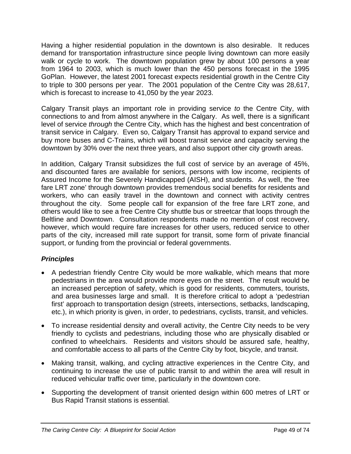Having a higher residential population in the downtown is also desirable. It reduces demand for transportation infrastructure since people living downtown can more easily walk or cycle to work. The downtown population grew by about 100 persons a year from 1964 to 2003, which is much lower than the 450 persons forecast in the 1995 GoPlan. However, the latest 2001 forecast expects residential growth in the Centre City to triple to 300 persons per year. The 2001 population of the Centre City was 28,617, which is forecast to increase to 41,050 by the year 2023.

Calgary Transit plays an important role in providing service *to* the Centre City, with connections to and from almost anywhere in the Calgary. As well, there is a significant level of service *through* the Centre City, which has the highest and best concentration of transit service in Calgary. Even so, Calgary Transit has approval to expand service and buy more buses and C-Trains, which will boost transit service and capacity serving the downtown by 30% over the next three years, and also support other city growth areas.

In addition, Calgary Transit subsidizes the full cost of service by an average of 45%, and discounted fares are available for seniors, persons with low income, recipients of Assured Income for the Severely Handicapped (AISH), and students. As well, the 'free fare LRT zone' through downtown provides tremendous social benefits for residents and workers, who can easily travel in the downtown and connect with activity centres throughout the city. Some people call for expansion of the free fare LRT zone, and others would like to see a free Centre City shuttle bus or streetcar that loops through the Beltline and Downtown. Consultation respondents made no mention of cost recovery, however, which would require fare increases for other users, reduced service to other parts of the city, increased mill rate support for transit, some form of private financial support, or funding from the provincial or federal governments.

### *Principles*

- A pedestrian friendly Centre City would be more walkable, which means that more pedestrians in the area would provide more eyes on the street. The result would be an increased perception of safety, which is good for residents, commuters, tourists, and area businesses large and small. It is therefore critical to adopt a 'pedestrian first' approach to transportation design (streets, intersections, setbacks, landscaping, etc.), in which priority is given, in order, to pedestrians, cyclists, transit, and vehicles.
- To increase residential density and overall activity, the Centre City needs to be very friendly to cyclists and pedestrians, including those who are physically disabled or confined to wheelchairs. Residents and visitors should be assured safe, healthy, and comfortable access to all parts of the Centre City by foot, bicycle, and transit.
- Making transit, walking, and cycling attractive experiences in the Centre City, and continuing to increase the use of public transit to and within the area will result in reduced vehicular traffic over time, particularly in the downtown core.
- Supporting the development of transit oriented design within 600 metres of LRT or Bus Rapid Transit stations is essential.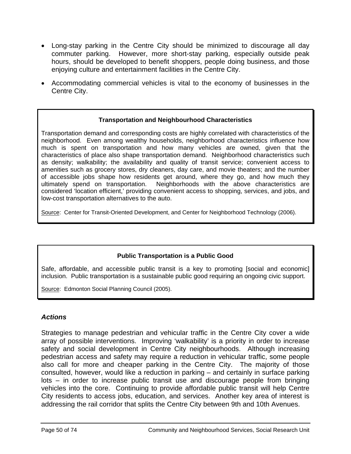- Long-stay parking in the Centre City should be minimized to discourage all day commuter parking. However, more short-stay parking, especially outside peak hours, should be developed to benefit shoppers, people doing business, and those enjoying culture and entertainment facilities in the Centre City.
- Accommodating commercial vehicles is vital to the economy of businesses in the Centre City.

### **Transportation and Neighbourhood Characteristics**

Transportation demand and corresponding costs are highly correlated with characteristics of the neighborhood. Even among wealthy households, neighborhood characteristics influence how much is spent on transportation and how many vehicles are owned, given that the characteristics of place also shape transportation demand. Neighborhood characteristics such as density; walkability; the availability and quality of transit service; convenient access to amenities such as grocery stores, dry cleaners, day care, and movie theaters; and the number of accessible jobs shape how residents get around, where they go, and how much they ultimately spend on transportation. Neighborhoods with the above characteristics are considered 'location efficient,' providing convenient access to shopping, services, and jobs, and low-cost transportation alternatives to the auto.

Source: Center for Transit-Oriented Development, and Center for Neighborhood Technology (2006).

### **Public Transportation is a Public Good**

Safe, affordable, and accessible public transit is a key to promoting [social and economic] inclusion. Public transportation is a sustainable public good requiring an ongoing civic support.

Source: Edmonton Social Planning Council (2005).

### *Actions*

Strategies to manage pedestrian and vehicular traffic in the Centre City cover a wide array of possible interventions. Improving 'walkability' is a priority in order to increase safety and social development in Centre City neighbourhoods. Although increasing pedestrian access and safety may require a reduction in vehicular traffic, some people also call for more and cheaper parking in the Centre City. The majority of those consulted, however, would like a reduction in parking – and certainly in surface parking lots – in order to increase public transit use and discourage people from bringing vehicles into the core. Continuing to provide affordable public transit will help Centre City residents to access jobs, education, and services. Another key area of interest is addressing the rail corridor that splits the Centre City between 9th and 10th Avenues.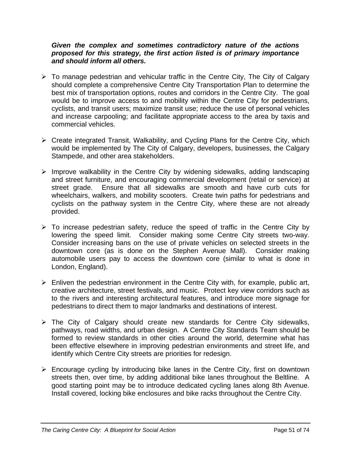### *Given the complex and sometimes contradictory nature of the actions proposed for this strategy, the first action listed is of primary importance and should inform all others.*

- $\triangleright$  To manage pedestrian and vehicular traffic in the Centre City, The City of Calgary should complete a comprehensive Centre City Transportation Plan to determine the best mix of transportation options, routes and corridors in the Centre City. The goal would be to improve access to and mobility within the Centre City for pedestrians, cyclists, and transit users; maximize transit use; reduce the use of personal vehicles and increase carpooling; and facilitate appropriate access to the area by taxis and commercial vehicles.
- $\triangleright$  Create integrated Transit, Walkability, and Cycling Plans for the Centre City, which would be implemented by The City of Calgary, developers, businesses, the Calgary Stampede, and other area stakeholders.
- $\triangleright$  Improve walkability in the Centre City by widening sidewalks, adding landscaping and street furniture, and encouraging commercial development (retail or service) at street grade. Ensure that all sidewalks are smooth and have curb cuts for wheelchairs, walkers, and mobility scooters. Create twin paths for pedestrians and cyclists on the pathway system in the Centre City, where these are not already provided.
- $\triangleright$  To increase pedestrian safety, reduce the speed of traffic in the Centre City by lowering the speed limit. Consider making some Centre City streets two-way. Consider increasing bans on the use of private vehicles on selected streets in the downtown core (as is done on the Stephen Avenue Mall). Consider making automobile users pay to access the downtown core (similar to what is done in London, England).
- $\triangleright$  Enliven the pedestrian environment in the Centre City with, for example, public art, creative architecture, street festivals, and music. Protect key view corridors such as to the rivers and interesting architectural features, and introduce more signage for pedestrians to direct them to major landmarks and destinations of interest.
- $\triangleright$  The City of Calgary should create new standards for Centre City sidewalks, pathways, road widths, and urban design. A Centre City Standards Team should be formed to review standards in other cities around the world, determine what has been effective elsewhere in improving pedestrian environments and street life, and identify which Centre City streets are priorities for redesign.
- $\triangleright$  Encourage cycling by introducing bike lanes in the Centre City, first on downtown streets then, over time, by adding additional bike lanes throughout the Beltline. A good starting point may be to introduce dedicated cycling lanes along 8th Avenue. Install covered, locking bike enclosures and bike racks throughout the Centre City.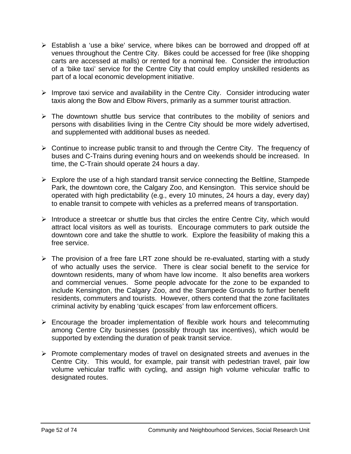- $\triangleright$  Establish a 'use a bike' service, where bikes can be borrowed and dropped off at venues throughout the Centre City. Bikes could be accessed for free (like shopping carts are accessed at malls) or rented for a nominal fee. Consider the introduction of a 'bike taxi' service for the Centre City that could employ unskilled residents as part of a local economic development initiative.
- $\triangleright$  Improve taxi service and availability in the Centre City. Consider introducing water taxis along the Bow and Elbow Rivers, primarily as a summer tourist attraction.
- $\triangleright$  The downtown shuttle bus service that contributes to the mobility of seniors and persons with disabilities living in the Centre City should be more widely advertised, and supplemented with additional buses as needed.
- $\triangleright$  Continue to increase public transit to and through the Centre City. The frequency of buses and C-Trains during evening hours and on weekends should be increased. In time, the C-Train should operate 24 hours a day.
- $\triangleright$  Explore the use of a high standard transit service connecting the Beltline, Stampede Park, the downtown core, the Calgary Zoo, and Kensington. This service should be operated with high predictability (e.g., every 10 minutes, 24 hours a day, every day) to enable transit to compete with vehicles as a preferred means of transportation.
- $\triangleright$  Introduce a streetcar or shuttle bus that circles the entire Centre City, which would attract local visitors as well as tourists. Encourage commuters to park outside the downtown core and take the shuttle to work. Explore the feasibility of making this a free service.
- $\triangleright$  The provision of a free fare LRT zone should be re-evaluated, starting with a study of who actually uses the service. There is clear social benefit to the service for downtown residents, many of whom have low income. It also benefits area workers and commercial venues. Some people advocate for the zone to be expanded to include Kensington, the Calgary Zoo, and the Stampede Grounds to further benefit residents, commuters and tourists. However, others contend that the zone facilitates criminal activity by enabling 'quick escapes' from law enforcement officers.
- $\triangleright$  Encourage the broader implementation of flexible work hours and telecommuting among Centre City businesses (possibly through tax incentives), which would be supported by extending the duration of peak transit service.
- ¾ Promote complementary modes of travel on designated streets and avenues in the Centre City. This would, for example, pair transit with pedestrian travel, pair low volume vehicular traffic with cycling, and assign high volume vehicular traffic to designated routes.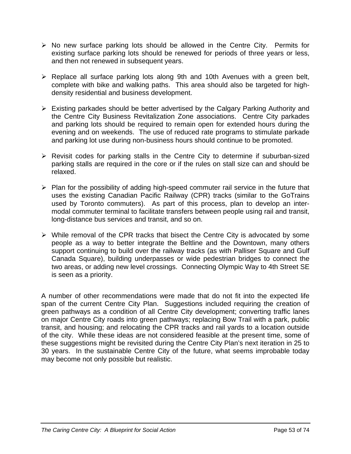- $\triangleright$  No new surface parking lots should be allowed in the Centre City. Permits for existing surface parking lots should be renewed for periods of three years or less, and then not renewed in subsequent years.
- $\triangleright$  Replace all surface parking lots along 9th and 10th Avenues with a green belt, complete with bike and walking paths. This area should also be targeted for highdensity residential and business development.
- $\triangleright$  Existing parkades should be better advertised by the Calgary Parking Authority and the Centre City Business Revitalization Zone associations. Centre City parkades and parking lots should be required to remain open for extended hours during the evening and on weekends. The use of reduced rate programs to stimulate parkade and parking lot use during non-business hours should continue to be promoted.
- $\triangleright$  Revisit codes for parking stalls in the Centre City to determine if suburban-sized parking stalls are required in the core or if the rules on stall size can and should be relaxed.
- $\triangleright$  Plan for the possibility of adding high-speed commuter rail service in the future that uses the existing Canadian Pacific Railway (CPR) tracks (similar to the GoTrains used by Toronto commuters). As part of this process, plan to develop an intermodal commuter terminal to facilitate transfers between people using rail and transit, long-distance bus services and transit, and so on.
- $\triangleright$  While removal of the CPR tracks that bisect the Centre City is advocated by some people as a way to better integrate the Beltline and the Downtown, many others support continuing to build over the railway tracks (as with Palliser Square and Gulf Canada Square), building underpasses or wide pedestrian bridges to connect the two areas, or adding new level crossings. Connecting Olympic Way to 4th Street SE is seen as a priority.

A number of other recommendations were made that do not fit into the expected life span of the current Centre City Plan. Suggestions included requiring the creation of green pathways as a condition of all Centre City development; converting traffic lanes on major Centre City roads into green pathways; replacing Bow Trail with a park, public transit, and housing; and relocating the CPR tracks and rail yards to a location outside of the city. While these ideas are not considered feasible at the present time, some of these suggestions might be revisited during the Centre City Plan's next iteration in 25 to 30 years. In the sustainable Centre City of the future, what seems improbable today may become not only possible but realistic.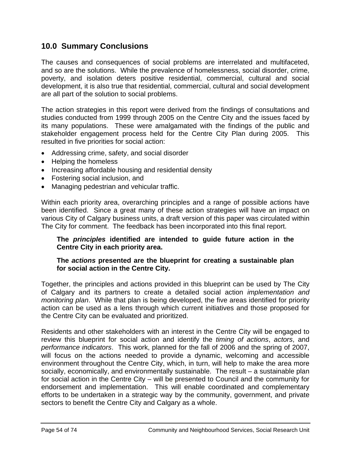# **10.0 Summary Conclusions**

The causes and consequences of social problems are interrelated and multifaceted, and so are the solutions. While the prevalence of homelessness, social disorder, crime, poverty, and isolation deters positive residential, commercial, cultural and social development, it is also true that residential, commercial, cultural and social development are all part of the solution to social problems.

The action strategies in this report were derived from the findings of consultations and studies conducted from 1999 through 2005 on the Centre City and the issues faced by its many populations. These were amalgamated with the findings of the public and stakeholder engagement process held for the Centre City Plan during 2005. This resulted in five priorities for social action:

- Addressing crime, safety, and social disorder
- Helping the homeless
- Increasing affordable housing and residential density
- Fostering social inclusion, and
- Managing pedestrian and vehicular traffic.

Within each priority area, overarching principles and a range of possible actions have been identified. Since a great many of these action strategies will have an impact on various City of Calgary business units, a draft version of this paper was circulated within The City for comment. The feedback has been incorporated into this final report.

### **The** *principles* **identified are intended to guide future action in the Centre City in each priority area.**

### **The** *actions* **presented are the blueprint for creating a sustainable plan for social action in the Centre City.**

Together, the principles and actions provided in this blueprint can be used by The City of Calgary and its partners to create a detailed social action *implementation and monitoring plan*. While that plan is being developed, the five areas identified for priority action can be used as a lens through which current initiatives and those proposed for the Centre City can be evaluated and prioritized.

Residents and other stakeholders with an interest in the Centre City will be engaged to review this blueprint for social action and identify the *timing of actions*, *actors*, and *performance indicators*. This work, planned for the fall of 2006 and the spring of 2007, will focus on the actions needed to provide a dynamic, welcoming and accessible environment throughout the Centre City, which, in turn, will help to make the area more socially, economically, and environmentally sustainable. The result – a sustainable plan for social action in the Centre City – will be presented to Council and the community for endorsement and implementation. This will enable coordinated and complementary efforts to be undertaken in a strategic way by the community, government, and private sectors to benefit the Centre City and Calgary as a whole.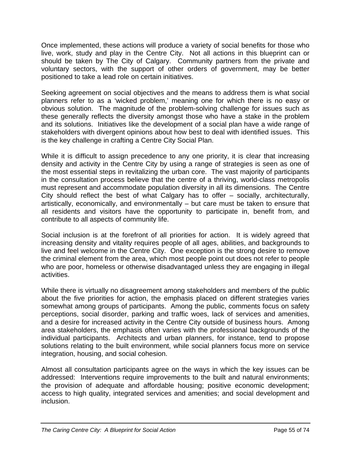Once implemented, these actions will produce a variety of social benefits for those who live, work, study and play in the Centre City. Not all actions in this blueprint can or should be taken by The City of Calgary. Community partners from the private and voluntary sectors, with the support of other orders of government, may be better positioned to take a lead role on certain initiatives.

Seeking agreement on social objectives and the means to address them is what social planners refer to as a 'wicked problem,' meaning one for which there is no easy or obvious solution. The magnitude of the problem-solving challenge for issues such as these generally reflects the diversity amongst those who have a stake in the problem and its solutions. Initiatives like the development of a social plan have a wide range of stakeholders with divergent opinions about how best to deal with identified issues. This is the key challenge in crafting a Centre City Social Plan.

While it is difficult to assign precedence to any one priority, it is clear that increasing density and activity in the Centre City by using a range of strategies is seen as one of the most essential steps in revitalizing the urban core. The vast majority of participants in the consultation process believe that the centre of a thriving, world-class metropolis must represent and accommodate population diversity in all its dimensions. The Centre City should reflect the best of what Calgary has to offer – socially, architecturally, artistically, economically, and environmentally – but care must be taken to ensure that all residents and visitors have the opportunity to participate in, benefit from, and contribute to all aspects of community life.

Social inclusion is at the forefront of all priorities for action. It is widely agreed that increasing density and vitality requires people of all ages, abilities, and backgrounds to live and feel welcome in the Centre City. One exception is the strong desire to remove the criminal element from the area, which most people point out does not refer to people who are poor, homeless or otherwise disadvantaged unless they are engaging in illegal activities.

While there is virtually no disagreement among stakeholders and members of the public about the five priorities for action, the emphasis placed on different strategies varies somewhat among groups of participants. Among the public, comments focus on safety perceptions, social disorder, parking and traffic woes, lack of services and amenities, and a desire for increased activity in the Centre City outside of business hours. Among area stakeholders, the emphasis often varies with the professional backgrounds of the individual participants. Architects and urban planners, for instance, tend to propose solutions relating to the built environment, while social planners focus more on service integration, housing, and social cohesion.

Almost all consultation participants agree on the ways in which the key issues can be addressed: Interventions require improvements to the built and natural environments; the provision of adequate and affordable housing; positive economic development; access to high quality, integrated services and amenities; and social development and inclusion.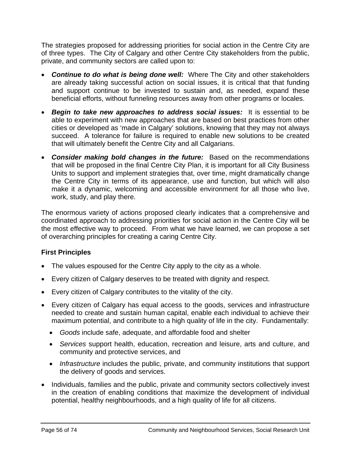The strategies proposed for addressing priorities for social action in the Centre City are of three types. The City of Calgary and other Centre City stakeholders from the public, private, and community sectors are called upon to:

- *Continue to do what is being done well:* Where The City and other stakeholders are already taking successful action on social issues, it is critical that that funding and support continue to be invested to sustain and, as needed, expand these beneficial efforts, without funneling resources away from other programs or locales.
- *Begin to take new approaches to address social issues:* It is essential to be able to experiment with new approaches that are based on best practices from other cities or developed as 'made in Calgary' solutions, knowing that they may not always succeed. A tolerance for failure is required to enable new solutions to be created that will ultimately benefit the Centre City and all Calgarians.
- *Consider making bold changes in the future:* Based on the recommendations that will be proposed in the final Centre City Plan, it is important for all City Business Units to support and implement strategies that, over time, might dramatically change the Centre City in terms of its appearance, use and function, but which will also make it a dynamic, welcoming and accessible environment for all those who live, work, study, and play there.

The enormous variety of actions proposed clearly indicates that a comprehensive and coordinated approach to addressing priorities for social action in the Centre City will be the most effective way to proceed. From what we have learned, we can propose a set of overarching principles for creating a caring Centre City.

### **First Principles**

- The values espoused for the Centre City apply to the city as a whole.
- Every citizen of Calgary deserves to be treated with dignity and respect.
- Every citizen of Calgary contributes to the vitality of the city.
- Every citizen of Calgary has equal access to the goods, services and infrastructure needed to create and sustain human capital, enable each individual to achieve their maximum potential, and contribute to a high quality of life in the city. Fundamentally:
	- *Goods* include safe, adequate, and affordable food and shelter
	- *Services* support health, education, recreation and leisure, arts and culture, and community and protective services, and
	- *Infrastructure* includes the public, private, and community institutions that support the delivery of goods and services.
- Individuals, families and the public, private and community sectors collectively invest in the creation of enabling conditions that maximize the development of individual potential, healthy neighbourhoods, and a high quality of life for all citizens.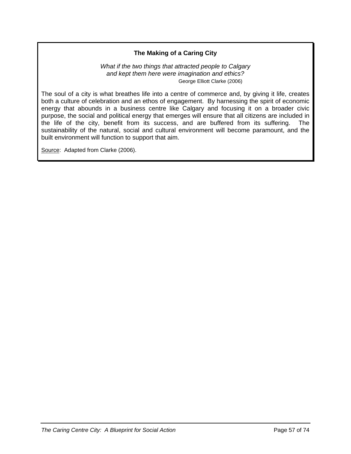### **The Making of a Caring City**

#### *What if the two things that attracted people to Calgary and kept them here were imagination and ethics?* George Elliott Clarke (2006)

The soul of a city is what breathes life into a centre of commerce and, by giving it life, creates both a culture of celebration and an ethos of engagement. By harnessing the spirit of economic energy that abounds in a business centre like Calgary and focusing it on a broader civic purpose, the social and political energy that emerges will ensure that all citizens are included in the life of the city, benefit from its success, and are buffered from its suffering. The sustainability of the natural, social and cultural environment will become paramount, and the built environment will function to support that aim.

Source: Adapted from Clarke (2006).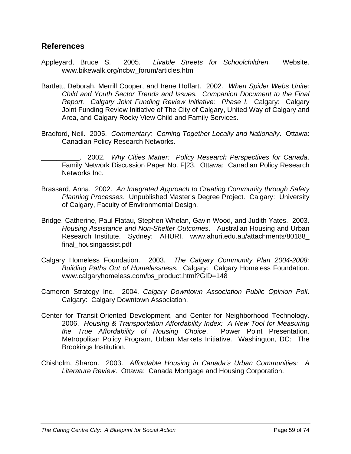### **References**

- Appleyard, Bruce S. 2005. *Livable Streets for Schoolchildren.* Website. www.bikewalk.org/ncbw\_forum/articles.htm
- Bartlett, Deborah, Merrill Cooper, and Irene Hoffart. 2002*. When Spider Webs Unite: Child and Youth Sector Trends and Issues. Companion Document to the Final Report. Calgary Joint Funding Review Initiative: Phase I.* Calgary: Calgary Joint Funding Review Initiative of The City of Calgary, United Way of Calgary and Area, and Calgary Rocky View Child and Family Services.
- Bradford, Neil. 2005. *Commentary: Coming Together Locally and Nationally*. Ottawa: Canadian Policy Research Networks.
- \_\_\_\_\_\_\_\_\_\_. 2002. *Why Cities Matter: Policy Research Perspectives for Canada*. Family Network Discussion Paper No. F|23. Ottawa: Canadian Policy Research Networks Inc.
- Brassard, Anna. 2002. *An Integrated Approach to Creating Community through Safety Planning Processes*. Unpublished Master's Degree Project. Calgary: University of Calgary, Faculty of Environmental Design.
- Bridge, Catherine, Paul Flatau, Stephen Whelan, Gavin Wood, and Judith Yates. 2003. *Housing Assistance and Non-Shelter Outcomes*. Australian Housing and Urban Research Institute. Sydney: AHURI. www.ahuri.edu.au/attachments/80188\_ final\_housingassist.pdf
- Calgary Homeless Foundation. 2003. *The Calgary Community Plan 2004-2008: Building Paths Out of Homelessness.* Calgary: Calgary Homeless Foundation. www.calgaryhomeless.com/bs\_product.html?GID=148
- Cameron Strategy Inc. 2004. *Calgary Downtown Association Public Opinion Poll*. Calgary: Calgary Downtown Association.
- Center for Transit-Oriented Development, and Center for Neighborhood Technology. 2006. *Housing & Transportation Affordability Index: A New Tool for Measuring the True Affordability of Housing Choice*. Power Point Presentation. Metropolitan Policy Program, Urban Markets Initiative. Washington, DC: The Brookings Institution.
- Chisholm, Sharon. 2003. *Affordable Housing in Canada's Urban Communities: A Literature Review*. Ottawa: Canada Mortgage and Housing Corporation.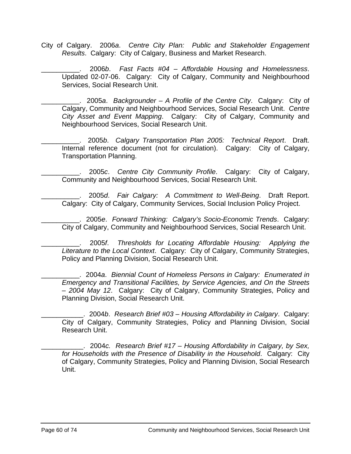City of Calgary. 2006*a*. *Centre City Plan: Public and Stakeholder Engagement Results*. Calgary: City of Calgary, Business and Market Research.

\_\_\_\_\_\_\_\_\_\_. 2006*b*. *Fast Facts #04 – Affordable Housing and Homelessness*. Updated 02-07-06. Calgary: City of Calgary, Community and Neighbourhood Services, Social Research Unit.

\_\_\_\_\_\_\_\_\_\_. 2005*a*. *Backgrounder – A Profile of the Centre City*. Calgary: City of Calgary, Community and Neighbourhood Services, Social Research Unit. *Centre City Asset and Event Mapping*. Calgary: City of Calgary, Community and Neighbourhood Services, Social Research Unit.

\_\_\_\_\_\_\_\_\_\_. 2005*b*. *Calgary Transportation Plan 2005: Technical Report*. Draft. Internal reference document (not for circulation). Calgary: City of Calgary, Transportation Planning.

\_\_\_\_\_\_\_\_\_\_. 2005*c*. *Centre City Community Profile*. Calgary: City of Calgary, Community and Neighbourhood Services, Social Research Unit.

\_\_\_\_\_\_\_\_\_\_. 2005*d*. *Fair Calgary: A Commitment to Well-Being*. Draft Report. Calgary: City of Calgary, Community Services, Social Inclusion Policy Project.

\_\_\_\_\_\_\_\_\_\_. 2005*e*. *Forward Thinking: Calgary's Socio-Economic Trends*. Calgary: City of Calgary, Community and Neighbourhood Services, Social Research Unit.

\_\_\_\_\_\_\_\_\_\_. 2005*f*. *Thresholds for Locating Affordable Housing: Applying the Literature to the Local Context*. Calgary: City of Calgary, Community Strategies, Policy and Planning Division, Social Research Unit.

\_\_\_\_\_\_\_\_\_\_. 2004*a*. *Biennial Count of Homeless Persons in Calgary: Enumerated in Emergency and Transitional Facilities, by Service Agencies, and On the Streets – 2004 May 12*. Calgary: City of Calgary, Community Strategies, Policy and Planning Division, Social Research Unit.

\_\_\_\_\_\_\_\_\_\_\_. 2004*b*. *Research Brief #03 – Housing Affordability in Calgary*. Calgary: City of Calgary, Community Strategies, Policy and Planning Division, Social Research Unit.

\_\_\_\_\_\_\_\_\_\_\_. 2004*c. Research Brief #17 – Housing Affordability in Calgary, by Sex, for Households with the Presence of Disability in the Household*. Calgary: City of Calgary, Community Strategies, Policy and Planning Division, Social Research Unit.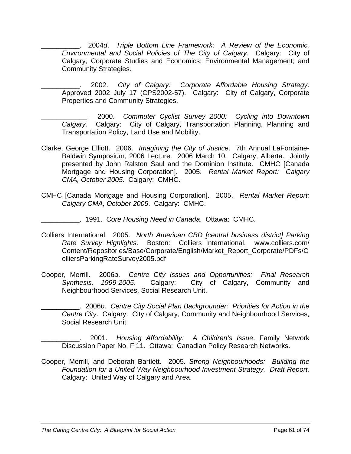\_\_\_\_\_\_\_\_\_\_. 2004*d*. *Triple Bottom Line Framework: A Review of the Economic, Environmental and Social Policies of The City of Calgary*. Calgary: City of Calgary, Corporate Studies and Economics; Environmental Management; and Community Strategies.

\_\_\_\_\_\_\_\_\_\_. 2002. *City of Calgary: Corporate Affordable Housing Strategy*. Approved 2002 July 17 (CPS2002-57). Calgary: City of Calgary, Corporate Properties and Community Strategies.

- \_\_\_\_\_\_\_\_\_\_\_\_. 2000. *Commuter Cyclist Survey 2000: Cycling into Downtown Calgary.* Calgary: City of Calgary, Transportation Planning, Planning and Transportation Policy, Land Use and Mobility.
- Clarke, George Elliott. 2006. *Imagining the City of Justice*. 7th Annual LaFontaine-Baldwin Symposium, 2006 Lecture. 2006 March 10. Calgary, Alberta. Jointly presented by John Ralston Saul and the Dominion Institute. CMHC [Canada Mortgage and Housing Corporation]. 2005. *Rental Market Report: Calgary CMA, October 2005*. Calgary: CMHC.
- CMHC [Canada Mortgage and Housing Corporation]. 2005. *Rental Market Report: Calgary CMA, October 2005*. Calgary: CMHC.
	- \_\_\_\_\_\_\_\_\_\_. 1991. *Core Housing Need in Canada*. Ottawa: CMHC.
- Colliers International. 2005. *North American CBD [central business district] Parking Rate Survey Highlights*. Boston: Colliers International. www.colliers.com/ Content/Repositories/Base/Corporate/English/Market\_Report\_Corporate/PDFs/C olliersParkingRateSurvey2005.pdf
- Cooper, Merrill. 2006*a*. *Centre City Issues and Opportunities: Final Research Synthesis, 1999-2005*. Calgary: City of Calgary, Community and Neighbourhood Services, Social Research Unit.
- \_\_\_\_\_\_\_\_\_\_. 2006*b*. *Centre City Social Plan Backgrounder: Priorities for Action in the Centre City*. Calgary: City of Calgary, Community and Neighbourhood Services, Social Research Unit.

\_\_\_\_\_\_\_\_\_\_. 2001. *Housing Affordability: A Children's Issue*. Family Network Discussion Paper No. F|11. Ottawa: Canadian Policy Research Networks.

Cooper, Merrill, and Deborah Bartlett. 2005. *Strong Neighbourhoods: Building the Foundation for a United Way Neighbourhood Investment Strategy. Draft Report.* Calgary: United Way of Calgary and Area.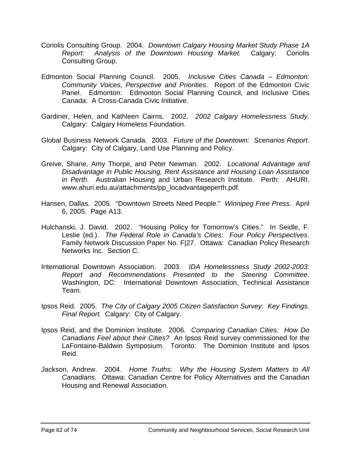- Coriolis Consulting Group. 2004. *Downtown Calgary Housing Market Study Phase 1A Report: Analysis of the Downtown Housing Market.* Calgary: Coriolis Consulting Group.
- Edmonton Social Planning Council. 2005. *Inclusive Cities Canada Edmonton: Community Voices, Perspective and Priorities*. Report of the Edmonton Civic Panel. Edmonton: Edmonton Social Planning Council, and Inclusive Cities Canada: A Cross-Canada Civic Initiative.
- Gardiner, Helen, and Kathleen Cairns. 2002. *2002 Calgary Homelessness Study.* Calgary: Calgary Homeless Foundation.
- Global Business Network Canada. 2003. *Future of the Downtown: Scenarios Report*. Calgary: City of Calgary, Land Use Planning and Policy.
- Greive, Shane, Amy Thorpe, and Peter Newman. 2002. *Locational Advantage and Disadvantage in Public Housing, Rent Assistance and Housing Loan Assistance in Perth*. Australian Housing and Urban Research Institute. Perth: AHURI. www.ahuri.edu.au/attachments/pp\_locadvantageperth.pdf.
- Hansen, Dallas. 2005. "Downtown Streets Need People." *Winnipeg Free Press*. April 6, 2005. Page A13.
- Hulchanski, J. David. 2002. "Housing Policy for Tomorrow's Cities." In Seidle, F. Leslie (ed.). *The Federal Role in Canada's Cities: Four Policy Perspectives*. Family Network Discussion Paper No. F|27. Ottawa: Canadian Policy Research Networks Inc. Section C.
- International Downtown Association. 2003. *IDA Homelessness Study 2002-2003: Report and Recommendations Presented to the Steering Committee*. Washington, DC: International Downtown Association, Technical Assistance Team.
- Ipsos Reid. 2005. *The City of Calgary 2005 Citizen Satisfaction Survey: Key Findings. Final Report.* Calgary: City of Calgary.
- Ipsos Reid, and the Dominion Institute. 2006. *Comparing Canadian Cities: How Do Canadians Feel about their Cities?* An Ipsos Reid survey commissioned for the LaFontaine-Baldwin Symposium. Toronto: The Dominion Institute and Ipsos Reid.
- Jackson, Andrew. 2004. *Home Truths: Why the Housing System Matters to All Canadians.* Ottawa: Canadian Centre for Policy Alternatives and the Canadian Housing and Renewal Association.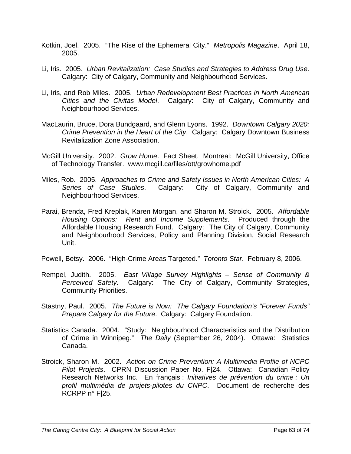- Kotkin, Joel. 2005. "The Rise of the Ephemeral City." *Metropolis Magazine*. April 18, 2005.
- Li, Iris. 2005. *Urban Revitalization: Case Studies and Strategies to Address Drug Use*. Calgary: City of Calgary, Community and Neighbourhood Services.
- Li, Iris, and Rob Miles. 2005. *Urban Redevelopment Best Practices in North American Cities and the Civitas Model*. Calgary: City of Calgary, Community and Neighbourhood Services.
- MacLaurin, Bruce, Dora Bundgaard, and Glenn Lyons. 1992. *Downtown Calgary 2020: Crime Prevention in the Heart of the City*. Calgary: Calgary Downtown Business Revitalization Zone Association.
- McGill University. 2002. *Grow Home*. Fact Sheet. Montreal: McGill University, Office of Technology Transfer. www.mcgill.ca/files/ott/growhome.pdf
- Miles, Rob. 2005. *Approaches to Crime and Safety Issues in North American Cities: A Series of Case Studies*. Calgary: City of Calgary, Community and Neighbourhood Services.
- Parai, Brenda, Fred Kreplak, Karen Morgan, and Sharon M. Stroick. 2005. *Affordable Housing Options: Rent and Income Supplements*. Produced through the Affordable Housing Research Fund. Calgary: The City of Calgary, Community and Neighbourhood Services, Policy and Planning Division, Social Research Unit.
- Powell, Betsy. 2006. "High-Crime Areas Targeted." *Toronto Star*. February 8, 2006.
- Rempel, Judith. 2005. *East Village Survey Highlights Sense of Community & Perceived Safety.* Calgary: The City of Calgary, Community Strategies, Community Priorities.
- Stastny, Paul. 2005. *The Future is Now: The Calgary Foundation's "Forever Funds" Prepare Calgary for the Future*. Calgary: Calgary Foundation.
- Statistics Canada. 2004. "Study: Neighbourhood Characteristics and the Distribution of Crime in Winnipeg." *The Daily* (September 26, 2004). Ottawa: Statistics Canada.
- Stroick, Sharon M. 2002. *Action on Crime Prevention: A Multimedia Profile of NCPC Pilot Projects*. CPRN Discussion Paper No. F|24. Ottawa: Canadian Policy Research Networks Inc. En français : *Initiatives de prévention du crime : Un profil multimédia de projets-pilotes du CNPC*. Document de recherche des RCRPP n° F|25.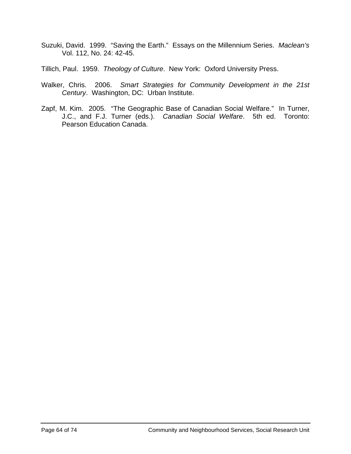- Suzuki, David. 1999. "Saving the Earth." Essays on the Millennium Series. *Maclean's* Vol. 112, No. 24: 42-45.
- Tillich, Paul. 1959. *Theology of Culture*. New York: Oxford University Press.
- Walker, Chris. 2006. *Smart Strategies for Community Development in the 21st Century*. Washington, DC: Urban Institute.
- Zapf, M. Kim. 2005. "The Geographic Base of Canadian Social Welfare." In Turner, J.C., and F.J. Turner (eds.). *Canadian Social Welfare*. 5th ed. Toronto: Pearson Education Canada.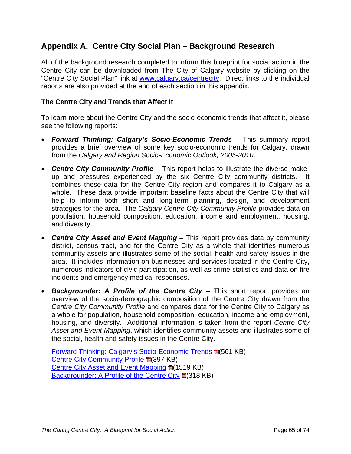# **Appendix A. Centre City Social Plan – Background Research**

All of the background research completed to inform this blueprint for social action in the Centre City can be downloaded from The City of Calgary website by clicking on the "Centre City Social Plan" link at [www.calgary.ca/centrecity](http://www.calgary.ca/centrecity). Direct links to the individual reports are also provided at the end of each section in this appendix.

### **The Centre City and Trends that Affect It**

To learn more about the Centre City and the socio-economic trends that affect it, please see the following reports:

- *Forward Thinking: Calgary's Socio-Economic Trends* This summary report provides a brief overview of some key socio-economic trends for Calgary, drawn from the *Calgary and Region Socio-Economic Outlook, 2005-2010*.
- *Centre City Community Profile* This report helps to illustrate the diverse makeup and pressures experienced by the six Centre City community districts. combines these data for the Centre City region and compares it to Calgary as a whole. These data provide important baseline facts about the Centre City that will help to inform both short and long-term planning, design, and development strategies for the area. The *Calgary Centre City Community Profile* provides data on population, household composition, education, income and employment, housing, and diversity.
- *Centre City Asset and Event Mapping* This report provides data by community district, census tract, and for the Centre City as a whole that identifies numerous community assets and illustrates some of the social, health and safety issues in the area. It includes information on businesses and services located in the Centre City, numerous indicators of civic participation, as well as crime statistics and data on fire incidents and emergency medical responses.
- *Backgrounder: A Profile of the Centre City* This short report provides an overview of the socio-demographic composition of the Centre City drawn from the *Centre City Community Profile* and compares data for the Centre City to Calgary as a whole for population, household composition, education, income and employment, housing, and diversity. Additional information is taken from the report *Centre City Asset and Event Mapping*, which identifies community assets and illustrates some of the social, health and safety issues in the Centre City.

[Forward Thinking: Calgary's Socio-Economic Trends](http://www.calgary.ca/docgallery/bu/cns/centre_city/forward_thinking_calgarys_socio-economic_trends.pdf) **E**(561 KB) [Centre City Community Profile](http://www.calgary.ca/docgallery/bu/cns/centre_city/centre_city_community_profile.pdf) **ta**(397 KB) [Centre City Asset and Event Mapping](http://www.calgary.ca/docgallery/bu/cns/centre_city/centre_city_asset_and_event_mapping.pdf) 14(1519 KB) [Backgrounder: A Profile of the Centre City](http://www.calgary.ca/docgallery/bu/cns/centre_city/backgrounder_a_profile_of_the_centre_city.pdf) **E**(318 KB)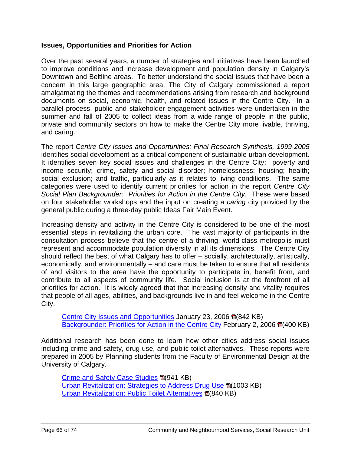### **Issues, Opportunities and Priorities for Action**

Over the past several years, a number of strategies and initiatives have been launched to improve conditions and increase development and population density in Calgary's Downtown and Beltline areas. To better understand the social issues that have been a concern in this large geographic area, The City of Calgary commissioned a report amalgamating the themes and recommendations arising from research and background documents on social, economic, health, and related issues in the Centre City. In a parallel process, public and stakeholder engagement activities were undertaken in the summer and fall of 2005 to collect ideas from a wide range of people in the public, private and community sectors on how to make the Centre City more livable, thriving, and caring.

The report *Centre City Issues and Opportunities: Final Research Synthesis, 1999-2005*  identifies social development as a critical component of sustainable urban development. It identifies seven key social issues and challenges in the Centre City: poverty and income security; crime, safety and social disorder; homelessness; housing; health; social exclusion; and traffic, particularly as it relates to living conditions. The same categories were used to identify current priorities for action in the report *Centre City Social Plan Backgrounder: Priorities for Action in the Centre City*. These were based on four stakeholder workshops and the input on creating a *caring* city provided by the general public during a three-day public Ideas Fair Main Event.

Increasing density and activity in the Centre City is considered to be one of the most essential steps in revitalizing the urban core. The vast majority of participants in the consultation process believe that the centre of a thriving, world-class metropolis must represent and accommodate population diversity in all its dimensions. The Centre City should reflect the best of what Calgary has to offer – socially, architecturally, artistically, economically, and environmentally – and care must be taken to ensure that all residents of and visitors to the area have the opportunity to participate in, benefit from, and contribute to all aspects of community life. Social inclusion is at the forefront of all priorities for action. It is widely agreed that that increasing density and vitality requires that people of all ages, abilities, and backgrounds live in and feel welcome in the Centre City.

[Centre City Issues and Opportunities](http://www.calgary.ca/docgallery/bu/cns/centre_city/centre_city_issues_and_opportunities.pdf) January 23, 2006 **fa** (842 KB) [Backgrounder: Priorities for Action in the Centre City](http://www.calgary.ca/docgallery/bu/cns/centre_city/backgrounder_priorities_for_action_in_the_centre_city.pdf) February 2, 2006 **Tames** (400 KB)

Additional research has been done to learn how other cities address social issues including crime and safety, drug use, and public toilet alternatives. These reports were prepared in 2005 by Planning students from the Faculty of Environmental Design at the University of Calgary.

[Crime and Safety Case Studies](http://www.calgary.ca/docgallery/bu/cns/centre_city/crime_and_safety_case_studies.pdf) **E**(941 KB) [Urban Revitalization: Strategies to Address Drug Use](http://www.calgary.ca/docgallery/bu/cns/centre_city/strategies_to_address_drug_use.pdf) (1003 KB) [Urban Revitalization: Public Toilet Alternatives](http://www.calgary.ca/docgallery/bu/cns/centre_city/public_toilet_alternatives.pdf) **1**(840 KB)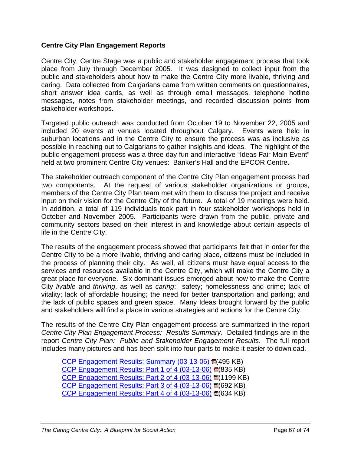### **Centre City Plan Engagement Reports**

Centre City, Centre Stage was a public and stakeholder engagement process that took place from July through December 2005. It was designed to collect input from the public and stakeholders about how to make the Centre City more livable, thriving and caring. Data collected from Calgarians came from written comments on questionnaires, short answer idea cards, as well as through email messages, telephone hotline messages, notes from stakeholder meetings, and recorded discussion points from stakeholder workshops.

Targeted public outreach was conducted from October 19 to November 22, 2005 and included 20 events at venues located throughout Calgary. Events were held in suburban locations and in the Centre City to ensure the process was as inclusive as possible in reaching out to Calgarians to gather insights and ideas. The highlight of the public engagement process was a three-day fun and interactive "Ideas Fair Main Event" held at two prominent Centre City venues: Banker's Hall and the EPCOR Centre.

The stakeholder outreach component of the Centre City Plan engagement process had two components. At the request of various stakeholder organizations or groups, members of the Centre City Plan team met with them to discuss the project and receive input on their vision for the Centre City of the future. A total of 19 meetings were held. In addition, a total of 119 individuals took part in four stakeholder workshops held in October and November 2005. Participants were drawn from the public, private and community sectors based on their interest in and knowledge about certain aspects of life in the Centre City.

The results of the engagement process showed that participants felt that in order for the Centre City to be a more livable, thriving and caring place, citizens must be included in the process of planning their city. As well, all citizens must have equal access to the services and resources available in the Centre City, which will make the Centre City a great place for everyone. Six dominant issues emerged about how to make the Centre City *livable* and *thriving*, as well as *caring*: safety; homelessness and crime; lack of vitality; lack of affordable housing; the need for better transportation and parking; and the lack of public spaces and green space. Many Ideas brought forward by the public and stakeholders will find a place in various strategies and actions for the Centre City.

The results of the Centre City Plan engagement process are summarized in the report *Centre City Plan Engagement Process: Results Summary*. Detailed findings are in the report *Centre City Plan: Public and Stakeholder Engagement Results*. The full report includes many pictures and has been split into four parts to make it easier to download.

[CCP Engagement Results: Summary \(03-13-06\)](http://www.calgary.ca/docgallery/bu/cns/centre_city/ccp_engagement_results_summary.pdf) 国(495 KB) CCP Engagement Results: Part 1 of 4  $(03-13-06)$   $\mathbb{E}(835 \text{ KB})$ CCP Engagement Results: Part 2 of 4  $(03-13-06)$   $E(1199$  KB) CCP Engagement Results: Part 3 of 4  $(03-13-06)$   $E(692$  KB) CCP Engagement Results: Part 4 of 4  $(03-13-06)$   $\mathbb{E}(634$  KB)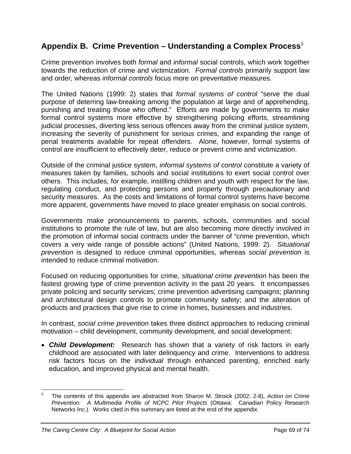# **Appendix B. Crime Prevention – Understanding a Complex Process**[3](#page-68-0)

Crime prevention involves both *formal* and *informal* social controls, which work together towards the reduction of crime and victimization. *Formal controls* primarily support law and order, whereas *informal controls* focus more on preventative measures.

The United Nations (1999: 2) states that *formal systems of control* "serve the dual purpose of deterring law-breaking among the population at large and of apprehending, punishing and treating those who offend." Efforts are made by governments to make formal control systems more effective by strengthening policing efforts, streamlining judicial processes, diverting less serious offences away from the criminal justice system, increasing the severity of punishment for serious crimes, and expanding the range of penal treatments available for repeat offenders. Alone, however, formal systems of control are insufficient to effectively deter, reduce or prevent crime and victimization.

Outside of the criminal justice system, *informal systems of control* constitute a variety of measures taken by families, schools and social institutions to exert social control over others. This includes, for example, instilling children and youth with respect for the law, regulating conduct, and protecting persons and property through precautionary and security measures. As the costs and limitations of formal control systems have become more apparent, governments have moved to place greater emphasis on social controls.

Governments make pronouncements to parents, schools, communities and social institutions to promote the rule of law, but are also becoming more directly involved in the promotion of informal social contracts under the banner of "crime prevention, which covers a very wide range of possible actions" (United Nations, 1999: 2). *Situational prevention* is designed to reduce criminal opportunities, whereas *social prevention* is intended to reduce criminal motivation.

Focused on reducing opportunities for crime, *situational crime prevention* has been the fastest growing type of crime prevention activity in the past 20 years. It encompasses private policing and security services; crime prevention advertising campaigns; planning and architectural design controls to promote community safety; and the alteration of products and practices that give rise to crime in homes, businesses and industries.

In contrast, *social crime prevention* takes three distinct approaches to reducing criminal motivation – child development, community development, and social development:

• *Child Development:* Research has shown that a variety of risk factors in early childhood are associated with later delinquency and crime. Interventions to address risk factors focus on the *individual* through enhanced parenting, enriched early education, and improved physical and mental health.

<span id="page-68-0"></span> <sup>3</sup> The contents of this appendix are abstracted from Sharon M. Stroick (2002: 2-8), *Action on Crime Prevention: A Multimedia Profile of NCPC Pilot Projects* (Ottawa: Canadian Policy Research Networks Inc.). Works cited in this summary are listed at the end of the appendix.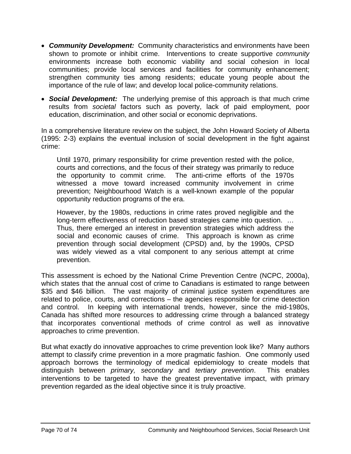- *Community Development:* Community characteristics and environments have been shown to promote or inhibit crime. Interventions to create supportive *community* environments increase both economic viability and social cohesion in local communities; provide local services and facilities for community enhancement; strengthen community ties among residents; educate young people about the importance of the rule of law; and develop local police-community relations.
- *Social Development:* The underlying premise of this approach is that much crime results from *societal* factors such as poverty, lack of paid employment, poor education, discrimination, and other social or economic deprivations.

In a comprehensive literature review on the subject, the John Howard Society of Alberta (1995: 2-3) explains the eventual inclusion of social development in the fight against crime:

Until 1970, primary responsibility for crime prevention rested with the police, courts and corrections, and the focus of their strategy was primarily to reduce the opportunity to commit crime. The anti-crime efforts of the 1970s witnessed a move toward increased community involvement in crime prevention; Neighbourhood Watch is a well-known example of the popular opportunity reduction programs of the era.

However, by the 1980s, reductions in crime rates proved negligible and the long-term effectiveness of reduction based strategies came into question. … Thus, there emerged an interest in prevention strategies which address the social and economic causes of crime. This approach is known as crime prevention through social development (CPSD) and, by the 1990s, CPSD was widely viewed as a vital component to any serious attempt at crime prevention.

This assessment is echoed by the National Crime Prevention Centre (NCPC, 2000a), which states that the annual cost of crime to Canadians is estimated to range between \$35 and \$46 billion. The vast majority of criminal justice system expenditures are related to police, courts, and corrections – the agencies responsible for crime detection and control. In keeping with international trends, however, since the mid-1980s, Canada has shifted more resources to addressing crime through a balanced strategy that incorporates conventional methods of crime control as well as innovative approaches to crime prevention.

But what exactly do innovative approaches to crime prevention look like? Many authors attempt to classify crime prevention in a more pragmatic fashion. One commonly used approach borrows the terminology of medical epidemiology to create models that distinguish between *primary, secondary* and *tertiary prevention*. This enables interventions to be targeted to have the greatest preventative impact, with primary prevention regarded as the ideal objective since it is truly proactive.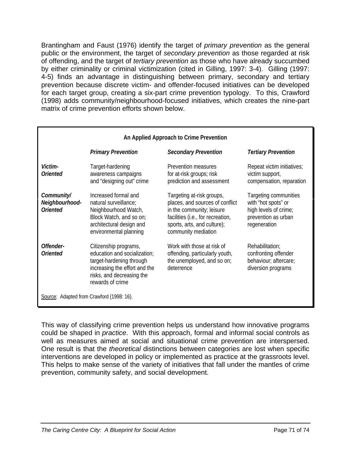Brantingham and Faust (1976) identify the target of *primary prevention* as the general public or the environment, the target of *secondary prevention* as those regarded at risk of offending, and the target of *tertiary prevention* as those who have already succumbed by either criminality or criminal victimization (cited in Gilling, 1997: 3-4). Gilling (1997: 4-5) finds an advantage in distinguishing between primary, secondary and tertiary prevention because discrete victim- and offender-focused initiatives can be developed for each target group, creating a six-part crime prevention typology. To this, Crawford (1998) adds community/neighbourhood-focused initiatives, which creates the nine-part matrix of crime prevention efforts shown below.

| An Applied Approach to Crime Prevention         |                                                                                                                                                                     |                                                                                                                                                                                      |                                                                                                              |
|-------------------------------------------------|---------------------------------------------------------------------------------------------------------------------------------------------------------------------|--------------------------------------------------------------------------------------------------------------------------------------------------------------------------------------|--------------------------------------------------------------------------------------------------------------|
|                                                 | <b>Primary Prevention</b>                                                                                                                                           | <b>Secondary Prevention</b>                                                                                                                                                          | <b>Tertiary Prevention</b>                                                                                   |
| <i>Victim-</i><br>Oriented                      | Target-hardening<br>awareness campaigns<br>and "designing out" crime                                                                                                | Prevention measures<br>for at-risk groups; risk<br>prediction and assessment                                                                                                         | Repeat victim initiatives;<br>victim support,<br>compensation, reparation                                    |
| Community/<br>Neighbourhood-<br><b>Oriented</b> | Increased formal and<br>natural surveillance;<br>Neighbourhood Watch,<br>Block Watch, and so on;<br>architectural design and<br>environmental planning              | Targeting at-risk groups,<br>places, and sources of conflict<br>in the community; leisure<br>facilities (i.e., for recreation,<br>sports, arts, and culture);<br>community mediation | Targeting communities<br>with "hot spots" or<br>high levels of crime;<br>prevention as urban<br>regeneration |
| Offender-<br>Oriented                           | Citizenship programs,<br>education and socialization;<br>target-hardening through<br>increasing the effort and the<br>risks, and decreasing the<br>rewards of crime | Work with those at risk of<br>offending, particularly youth,<br>the unemployed, and so on;<br>deterrence                                                                             | Rehabilitation;<br>confronting offender<br>behaviour; aftercare;<br>diversion programs                       |
| Source: Adapted from Crawford (1998: 16).       |                                                                                                                                                                     |                                                                                                                                                                                      |                                                                                                              |

This way of classifying crime prevention helps us understand how innovative programs could be shaped in *practice*. With this approach, formal and informal social controls as well as measures aimed at social and situational crime prevention are interspersed. One result is that the *theoretical* distinctions between categories are lost when specific interventions are developed in policy or implemented as practice at the grassroots level. This helps to make sense of the variety of initiatives that fall under the mantles of crime prevention, community safety, and social development.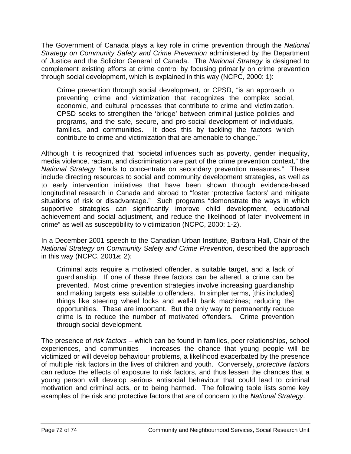The Government of Canada plays a key role in crime prevention through the *National Strategy on Community Safety and Crime Prevention* administered by the Department of Justice and the Solicitor General of Canada. The *National Strategy* is designed to complement existing efforts at crime control by focusing primarily on crime prevention through social development, which is explained in this way (NCPC, 2000: 1):

Crime prevention through social development, or CPSD, "is an approach to preventing crime and victimization that recognizes the complex social, economic, and cultural processes that contribute to crime and victimization. CPSD seeks to strengthen the 'bridge' between criminal justice policies and programs, and the safe, secure, and pro-social development of individuals, families, and communities. It does this by tackling the factors which contribute to crime and victimization that are amenable to change."

Although it is recognized that "societal influences such as poverty, gender inequality, media violence, racism, and discrimination are part of the crime prevention context," the *National Strategy* "tends to concentrate on secondary prevention measures." These include directing resources to social and community development strategies, as well as to early intervention initiatives that have been shown through evidence-based longitudinal research in Canada and abroad to "foster 'protective factors' and mitigate situations of risk or disadvantage." Such programs "demonstrate the ways in which supportive strategies can significantly improve child development, educational achievement and social adjustment, and reduce the likelihood of later involvement in crime" as well as susceptibility to victimization (NCPC, 2000: 1-2).

In a December 2001 speech to the Canadian Urban Institute, Barbara Hall, Chair of the *National Strategy on Community Safety and Crime Prevention*, described the approach in this way (NCPC, 2001*a*: 2):

Criminal acts require a motivated offender, a suitable target, and a lack of guardianship. If one of these three factors can be altered, a crime can be prevented. Most crime prevention strategies involve increasing guardianship and making targets less suitable to offenders. In simpler terms, [this includes] things like steering wheel locks and well-lit bank machines; reducing the opportunities. These are important. But the only way to permanently reduce crime is to reduce the number of motivated offenders. Crime prevention through social development.

The presence of *risk factors* – which can be found in families, peer relationships, school experiences, and communities – increases the chance that young people will be victimized or will develop behaviour problems, a likelihood exacerbated by the presence of multiple risk factors in the lives of children and youth. Conversely, *protective factors* can reduce the effects of exposure to risk factors, and thus lessen the chances that a young person will develop serious antisocial behaviour that could lead to criminal motivation and criminal acts, or to being harmed. The following table lists some key examples of the risk and protective factors that are of concern to the *National Strategy*.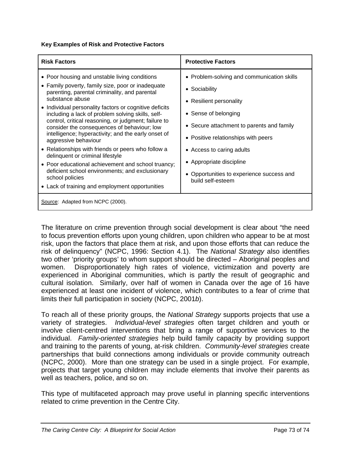## **Key Examples of Risk and Protective Factors**

| <b>Risk Factors</b>                                                                                                                                                                                                                                                                                                                                                                                                                                                                                                                                                                                                                                                                                                                                  | <b>Protective Factors</b>                                                                                                                                                                                                                                                                                                     |
|------------------------------------------------------------------------------------------------------------------------------------------------------------------------------------------------------------------------------------------------------------------------------------------------------------------------------------------------------------------------------------------------------------------------------------------------------------------------------------------------------------------------------------------------------------------------------------------------------------------------------------------------------------------------------------------------------------------------------------------------------|-------------------------------------------------------------------------------------------------------------------------------------------------------------------------------------------------------------------------------------------------------------------------------------------------------------------------------|
| • Poor housing and unstable living conditions<br>• Family poverty, family size, poor or inadequate<br>parenting, parental criminality, and parental<br>substance abuse<br>• Individual personality factors or cognitive deficits<br>including a lack of problem solving skills, self-<br>control, critical reasoning, or judgment; failure to<br>consider the consequences of behaviour; low<br>intelligence; hyperactivity; and the early onset of<br>aggressive behaviour<br>• Relationships with friends or peers who follow a<br>delinquent or criminal lifestyle<br>• Poor educational achievement and school truancy;<br>deficient school environments; and exclusionary<br>school policies<br>• Lack of training and employment opportunities | • Problem-solving and communication skills<br>• Sociability<br>• Resilient personality<br>• Sense of belonging<br>• Secure attachment to parents and family<br>• Positive relationships with peers<br>• Access to caring adults<br>• Appropriate discipline<br>• Opportunities to experience success and<br>build self-esteem |
| Source: Adapted from NCPC (2000).                                                                                                                                                                                                                                                                                                                                                                                                                                                                                                                                                                                                                                                                                                                    |                                                                                                                                                                                                                                                                                                                               |

The literature on crime prevention through social development is clear about "the need to focus prevention efforts upon young children, upon children who appear to be at most risk, upon the factors that place them at risk, and upon those efforts that can reduce the risk of delinquency" (NCPC, 1996: Section 4.1). The *National Strategy* also identifies two other 'priority groups' to whom support should be directed – Aboriginal peoples and women. Disproportionately high rates of violence, victimization and poverty are experienced in Aboriginal communities, which is partly the result of geographic and cultural isolation. Similarly, over half of women in Canada over the age of 16 have experienced at least one incident of violence, which contributes to a fear of crime that limits their full participation in society (NCPC, 2001*b*).

To reach all of these priority groups, the *National Strategy* supports projects that use a variety of strategies. *Individual-level strategies* often target children and youth or involve client-centred interventions that bring a range of supportive services to the individual. *Family-oriented strategies* help build family capacity by providing support and training to the parents of young, at-risk children. *Community-level strategies* create partnerships that build connections among individuals or provide community outreach (NCPC, 2000). More than one strategy can be used in a single project. For example, projects that target young children may include elements that involve their parents as well as teachers, police, and so on.

This type of multifaceted approach may prove useful in planning specific interventions related to crime prevention in the Centre City.